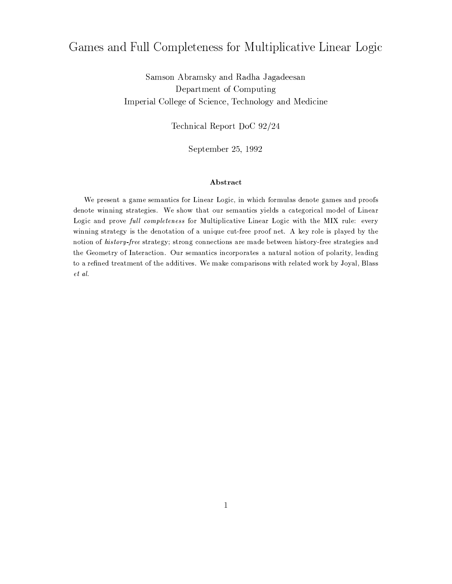# Games and Full Completeness for Multiplicative Linear Logic

Samson Abramsky and Radha Jagadeesan Department of Computing Imperial College of Science, Technology and Medicine

Technical Report DoC 92/24

September 25, 1992

# Abstract

We present a game semantics for Linear Logic, in which formulas denote games and proofs denote winning strategies. We show that our semantics yields a categorical model of Linear Logic and prove full completeness for Multiplicative Linear Logic with the MIX rule: every winning strategy is the denotation of a unique cut-free proof net. A key role is played by the notion of history-free strategy; strong connections are made between history-free strategies and the Geometry of Interaction. Our semantics incorporates a natural notion of polarity, leading to a refined treatment of the additives. We make comparisons with related work by Joyal, Blass et al.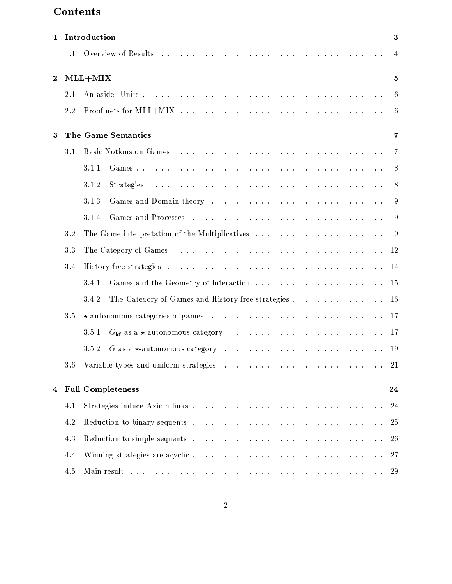# Contents

| $\mathbf 1$      |     | Introduction                                                            | $\boldsymbol{3}$ |
|------------------|-----|-------------------------------------------------------------------------|------------------|
|                  | 1.1 |                                                                         | $\overline{4}$   |
| $\boldsymbol{2}$ |     | $MLL+MIX$                                                               | 5                |
|                  | 2.1 |                                                                         | $6\phantom{.}6$  |
|                  | 2.2 |                                                                         | $\overline{6}$   |
| 3                |     | The Game Semantics                                                      | 7                |
|                  | 3.1 |                                                                         | -7               |
|                  |     | 3.1.1                                                                   | -8               |
|                  |     | 3.1.2                                                                   | 8                |
|                  |     | 3.1.3                                                                   | 9                |
|                  |     | 3.1.4                                                                   | 9                |
|                  | 3.2 |                                                                         | -9               |
|                  | 3.3 |                                                                         | 12               |
|                  | 3.4 | -14                                                                     |                  |
|                  |     | 3.4.1<br>15                                                             |                  |
|                  |     | The Category of Games and History-free strategies<br>3.4.2<br><b>16</b> |                  |
|                  | 3.5 | -17                                                                     |                  |
|                  |     | 3.5.1<br>$-17$                                                          |                  |
|                  |     | 3.5.2                                                                   |                  |
|                  | 3.6 | -21                                                                     |                  |
| 4                |     | <b>Full Completeness</b>                                                | 24               |
|                  | 4.1 |                                                                         | 24               |
|                  | 4.2 |                                                                         | 25               |
|                  | 4.3 |                                                                         | 26               |
|                  | 4.4 |                                                                         | 27               |
|                  | 4.5 |                                                                         | 29               |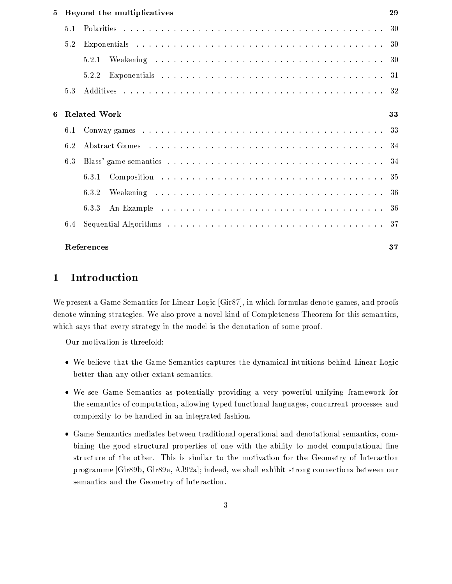| 5. |     | Beyond the multiplicatives | 29 |
|----|-----|----------------------------|----|
|    | 5.1 |                            |    |
|    | 5.2 |                            |    |
|    |     | 5.2.1                      |    |
|    |     | 5.2.2                      |    |
|    | 5.3 |                            |    |
| 6. |     | <b>Related Work</b>        | 33 |
|    | 6.1 |                            |    |
|    | 6.2 |                            |    |
|    | 6.3 |                            |    |
|    |     | 6.3.1                      |    |
|    |     | 6.3.2                      |    |
|    |     | 6.3.3                      |    |
|    | 6.4 |                            |    |
|    |     | <b>References</b>          | 37 |

# Introduction  $\mathbf{1}$

We present a Game Semantics for Linear Logic [Gir87], in which formulas denote games, and proofs denote winning strategies. We also prove a novel kind of Completeness Theorem for this semantics, which says that every strategy in the model is the denotation of some proof.

Our motivation is threefold:

- We believe that the Game Semantics captures the dynamical intuitions behind Linear Logic better than any other extant semantics.
- We see Game Semantics as potentially providing a very powerful unifying framework for the semantics of computation, allowing typed functional languages, concurrent processes and complexity to be handled in an integrated fashion.
- Game Semantics mediates between traditional operational and denotational semantics, combining the good structural properties of one with the ability to model computational fine structure of the other. This is similar to the motivation for the Geometry of Interaction programme [Gir89b, Gir89a, AJ92a]; indeed, we shall exhibit strong connections between our semantics and the Geometry of Interaction.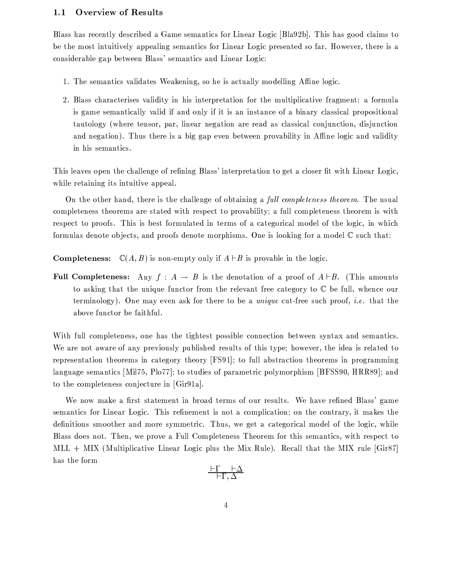# $1.1$ **Overview of Results**

Blass has recently described a Game semantics for Linear Logic [Bla92b]. This has good claims to be the most intuitively appealing semantics for Linear Logic presented so far. However, there is a considerable gap between Blass' semantics and Linear Logic:

- 1. The semantics validates Weakening, so he is actually modelling Affine logic.
- 2. Blass characterises validity in his interpretation for the multiplicative fragment: a formula is game semantically valid if and only if it is an instance of a binary classical propositional tautology (where tensor, par, linear negation are read as classical conjunction, disjunction and negation). Thus there is a big gap even between provability in Affine logic and validity in his semantics.

This leaves open the challenge of refining Blass' interpretation to get a closer fit with Linear Logic, while retaining its intuitive appeal.

On the other hand, there is the challenge of obtaining a full completeness theorem. The usual completeness theorems are stated with respect to provability; a full completeness theorem is with respect to proofs. This is best formulated in terms of a categorical model of the logic, in which formulas denote objects, and proofs denote morphisms. One is looking for a model  $\mathbb C$  such that:

**Completeness:**  $\mathbb{C}(A, B)$  is non-empty only if  $A \vdash B$  is provable in the logic.

**Full Completeness:** Any  $f : A \rightarrow B$  is the denotation of a proof of  $A \vdash B$ . (This amounts to asking that the unique functor from the relevant free category to  $\mathbb C$  be full, whence our terminology). One may even ask for there to be a *unique* cut-free such proof, *i.e.* that the above functor be faithful.

With full completeness, one has the tightest possible connection between syntax and semantics. We are not aware of any previously published results of this type; however, the idea is related to representation theorems in category theory [FS91]; to full abstraction theorems in programming language semantics [Mil75, Plo77]; to studies of parametric polymorphism [BFSS90, HRR89]; and to the completeness conjecture in [Gir91a].

We now make a first statement in broad terms of our results. We have refined Blass' game semantics for Linear Logic. This refinement is not a complication; on the contrary, it makes the definitions smoother and more symmetric. Thus, we get a categorical model of the logic, while Blass does not. Then, we prove a Full Completeness Theorem for this semantics, with respect to MLL + MIX (Multiplicative Linear Logic plus the Mix Rule). Recall that the MIX rule [Gir87] has the form

$$
\tfrac{\vdash \Gamma \quad \vdash \Delta}{\vdash \Gamma, \Delta}
$$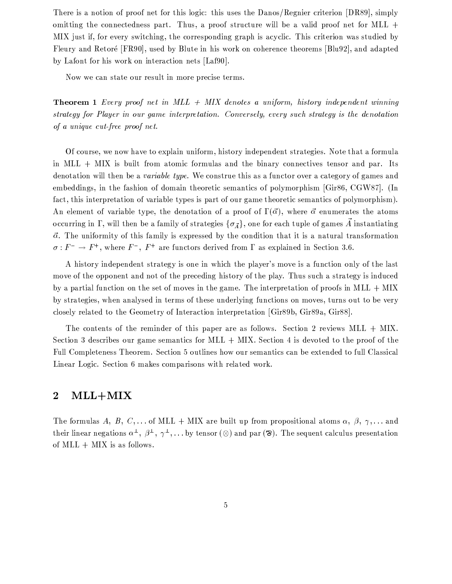There is a notion of proof net for this logic: this uses the Danos/Regnier criterion [DR89], simply omitting the connectedness part. Thus, a proof structure will be a valid proof net for MLL  $+$ MIX just if, for every switching, the corresponding graph is acyclic. This criterion was studied by Fleury and Retoré [FR90], used by Blute in his work on coherence theorems [Blu92], and adapted by Lafont for his work on interaction nets [Laf90].

Now we can state our result in more precise terms.

**Theorem 1** Every proof net in  $MLL + MIX$  denotes a uniform, history independent winning strategy for Player in our game interpretation. Conversely, every such strategy is the denotation of a unique cut-free proof net.

Of course, we now have to explain uniform, history independent strategies. Note that a formula in  $MLL + MIX$  is built from atomic formulas and the binary connectives tensor and par. Its denotation will then be a *variable type*. We construe this as a functor over a category of games and embeddings, in the fashion of domain theoretic semantics of polymorphism [Gir86, CGW87]. (In fact, this interpretation of variable types is part of our game theoretic semantics of polymorphism). An element of variable type, the denotation of a proof of  $\Gamma(\vec{\alpha})$ , where  $\vec{\alpha}$  enumerates the atoms occurring in  $\Gamma$ , will then be a family of strategies  $\{\sigma_{\vec{A}}\}$ , one for each tuple of games  $\vec{A}$  instantiating  $\vec{\alpha}$ . The uniformity of this family is expressed by the condition that it is a natural transformation  $\sigma : F^- \to F^+$ , where  $F^-$ ,  $F^+$  are functors derived from  $\Gamma$  as explained in Section 3.6.

A history independent strategy is one in which the player's move is a function only of the last move of the opponent and not of the preceding history of the play. Thus such a strategy is induced by a partial function on the set of moves in the game. The interpretation of proofs in MLL + MIX by strategies, when analysed in terms of these underlying functions on moves, turns out to be very closely related to the Geometry of Interaction interpretation [Gir89b, Gir89a, Gir88].

The contents of the reminder of this paper are as follows. Section 2 reviews  $MLL + MIX$ . Section 3 describes our game semantics for MLL  $+$  MIX. Section 4 is devoted to the proof of the Full Completeness Theorem. Section 5 outlines how our semantics can be extended to full Classical Linear Logic. Section 6 makes comparisons with related work.

# $MLL+MIX$  $\bf{2}$

The formulas A, B, C,... of MLL + MIX are built up from propositional atoms  $\alpha$ ,  $\beta$ ,  $\gamma$ ,... and their linear negations  $\alpha^{\perp}, \beta^{\perp}, \gamma^{\perp}, \ldots$  by tensor ( $\otimes$ ) and par ( $\otimes$ ). The sequent calculus presentation of  $MLL + MIX$  is as follows.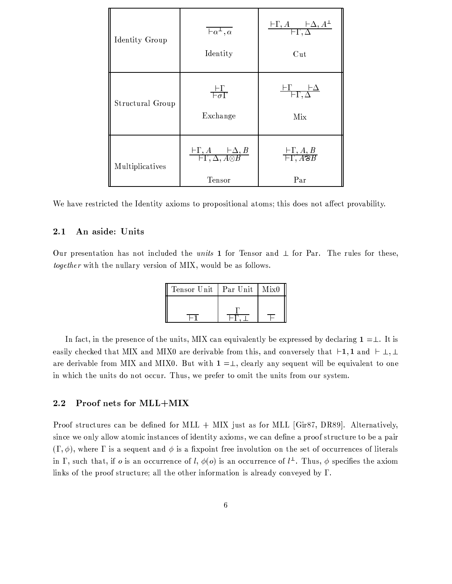| Identity Group   | $\overline{a^{\perp},\alpha}$<br>Identity                                                       | $\frac{\vdash \Gamma, A \qquad \vdash \Delta, A^{\perp}}{\vdash \Gamma, \Delta}$<br>$\mathrm{Cut}$ |
|------------------|-------------------------------------------------------------------------------------------------|----------------------------------------------------------------------------------------------------|
| Structural Group | $\frac{\vdash \Gamma}{\vdash \sigma \Gamma}$<br>Exchange                                        | $\frac{\vdash \Gamma \qquad \vdash \Delta}{\vdash \Gamma, \Delta}$<br>Mix                          |
| Multiplicatives  | $\frac{\vdash \Gamma, A \qquad \vdash \Delta, B}{\vdash \Gamma, \Delta, A \otimes B}$<br>Tensor | $\frac{\vdash \Gamma, A, B}{\vdash \Gamma, A \mathcal{B} B}$<br>Par                                |

We have restricted the Identity axioms to propositional atoms; this does not affect provability.

# An aside: Units  $2.1$

Our presentation has not included the *units* 1 for Tensor and  $\perp$  for Par. The rules for these, together with the nullary version of MIX, would be as follows.

| Tensor Unit | Par Unit | Mix0 |
|-------------|----------|------|
|             |          |      |
|             |          |      |

In fact, in the presence of the units, MIX can equivalently be expressed by declaring  $1 = \perp$ . It is easily checked that MIX and MIX0 are derivable from this, and conversely that  $\vdash 1, 1$  and  $\vdash \bot, \bot$ are derivable from MIX and MIX0. But with  $1 = \perp$ , clearly any sequent will be equivalent to one in which the units do not occur. Thus, we prefer to omit the units from our system.

# $2.2$ Proof nets for MLL+MIX

Proof structures can be defined for MLL  $+$  MIX just as for MLL [Gir87, DR89]. Alternatively, since we only allow atomic instances of identity axioms, we can define a proof structure to be a pair  $(\Gamma, \phi)$ , where  $\Gamma$  is a sequent and  $\phi$  is a fixpoint free involution on the set of occurrences of literals in  $\Gamma$ , such that, if *o* is an occurrence of *l*,  $\phi$ (*o*) is an occurrence of *l*<sup> $\perp$ </sup>. Thus,  $\phi$  specifies the axiom links of the proof structure; all the other information is already conveyed by  $\Gamma$ .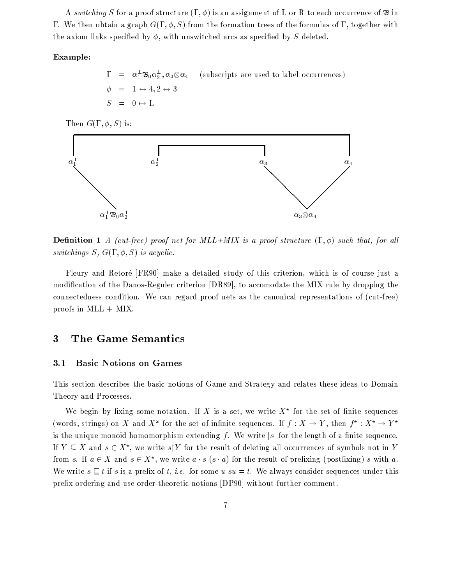A switching S for a proof structure  $(\Gamma, \phi)$  is an assignment of L or R to each occurrence of  $\mathfrak{D}$  in  $\Gamma$ . We then obtain a graph  $G(\Gamma, \phi, S)$  from the formation trees of the formulas of  $\Gamma$ , together with the axiom links specified by  $\phi$ , with unswitched arcs as specified by S deleted.

# Example:

 $\Gamma = \alpha_1^{\perp} \mathfrak{B}_0 \alpha_2^{\perp}, \alpha_3 \otimes \alpha_4$ (subscripts are used to label occurrences)  $\phi = 1 \leftrightarrow 4, 2 \leftrightarrow 3$  $S = 0 \mapsto L$ 

Then  $G(\Gamma, \phi, S)$  is:



**Definition 1** A (cut-free) proof net for MLL+MIX is a proof structure  $(\Gamma, \phi)$  such that, for all switchings  $S, G(\Gamma, \phi, S)$  is acyclic.

Fleury and Retoré [FR90] make a detailed study of this criterion, which is of course just a modification of the Danos-Regnier criterion [DR89], to accomodate the MIX rule by dropping the connectedness condition. We can regard proof nets as the canonical representations of (cut-free) proofs in  $MLL + MIX$ .

# The Game Semantics 3

### **Basic Notions on Games**  $3.1$

This section describes the basic notions of Game and Strategy and relates these ideas to Domain Theory and Processes.

We begin by fixing some notation. If X is a set, we write  $X^*$  for the set of finite sequences (words, strings) on X and  $X^{\omega}$  for the set of infinite sequences. If  $f: X \to Y$ , then  $f^{\star}: X^{\star} \to Y^{\star}$ is the unique monoid homomorphism extending f. We write |s| for the length of a finite sequence. If  $Y \subseteq X$  and  $s \in X^*$ , we write  $s|Y$  for the result of deleting all occurrences of symbols not in Y from s. If  $a \in X$  and  $s \in X^*$ , we write  $a \cdot s$   $(s \cdot a)$  for the result of prefixing (postfixing) s with a. We write  $s \subseteq t$  if s is a prefix of t, i.e. for some  $u \cdot su = t$ . We always consider sequences under this prefix ordering and use order-theoretic notions [DP90] without further comment.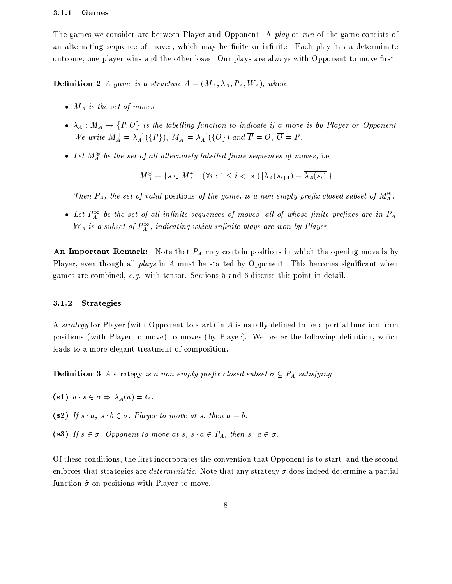#### $3.1.1$ Games

The games we consider are between Player and Opponent. A play or run of the game consists of an alternating sequence of moves, which may be finite or infinite. Each play has a determinate outcome; one player wins and the other loses. Our plays are always with Opponent to move first.

**Definition 2** A game is a structure  $A = (M_A, \lambda_A, P_A, W_A)$ , where

- $M_A$  is the set of moves.
- $\lambda_A: M_A \to \{P, O\}$  is the labelling function to indicate if a move is by Player or Opponent. We write  $M_A^+ = \lambda_A^{-1}(\lbrace P \rbrace)$ ,  $M_A^- = \lambda_A^{-1}(\lbrace O \rbrace)$  and  $\overline{P} = O$ ,  $\overline{O} = P$ .
- Let  $M_A^{\circledast}$  be the set of all alternately-labelled finite sequences of moves, i.e.

$$
M_A^{\circledast} = \{ s \in M_A^{\star} \mid \ (\forall i : 1 \leq i < |s|) \ [\lambda_A(s_{i+1}) = \lambda_A(s_i)] \}
$$

Then  $P_A$ , the set of valid positions of the game, is a non-empty prefix closed subset of  $M_A^{\circledast}$ .

• Let  $P_A^{\infty}$  be the set of all infinite sequences of moves, all of whose finite prefixes are in  $P_A$ .  $W_A$  is a subset of  $P_A^{\infty}$ , indicating which infinite plays are won by Player.

An Important Remark: Note that  $P_A$  may contain positions in which the opening move is by Player, even though all *plays* in A must be started by Opponent. This becomes significant when games are combined,  $e.g.$  with tensor. Sections 5 and 6 discuss this point in detail.

# Strategies  $3.1.2$

A strategy for Player (with Opponent to start) in A is usually defined to be a partial function from positions (with Player to move) to moves (by Player). We prefer the following definition, which leads to a more elegant treatment of composition.

**Definition 3** A strategy is a non-empty prefix closed subset  $\sigma \subseteq P_A$  satisfying

- (s1)  $a \cdot s \in \sigma \Rightarrow \lambda_A(a) = O$ .
- (s2) If  $s \cdot a$ ,  $s \cdot b \in \sigma$ , Player to move at s, then  $a = b$ .
- (s3) If  $s \in \sigma$ , Opponent to move at  $s, s \cdot a \in P_A$ , then  $s \cdot a \in \sigma$ .

Of these conditions, the first incorporates the convention that Opponent is to start; and the second enforces that strategies are *deterministic*. Note that any strategy  $\sigma$  does indeed determine a partial function  $\hat{\sigma}$  on positions with Player to move.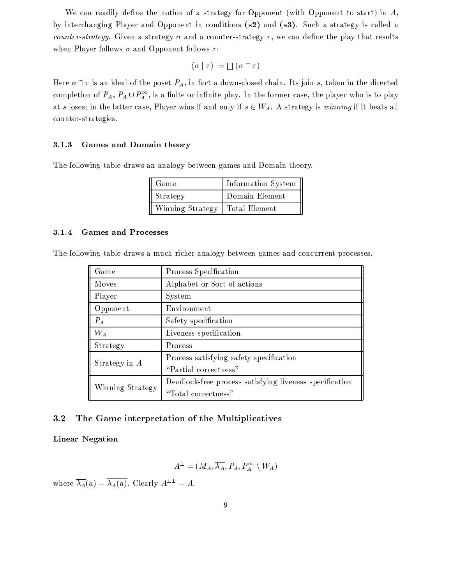We can readily define the notion of a strategy for Opponent (with Opponent to start) in  $A$ , by interchanging Player and Opponent in conditions (s2) and (s3). Such a strategy is called a counter-strategy. Given a strategy  $\sigma$  and a counter-strategy  $\tau$ , we can define the play that results when Player follows  $\sigma$  and Opponent follows  $\tau$ :

$$
\langle \sigma | \tau \rangle = \bigsqcup (\sigma \cap \tau)
$$

Here  $\sigma \cap \tau$  is an ideal of the poset  $P_A$ , in fact a down-closed chain. Its join s, taken in the directed completion of  $P_A$ ,  $P_A \cup P_A^{\infty}$ , is a finite or infinite play. In the former case, the player who is to play at s loses; in the latter case, Player wins if and only if  $s \in W_A$ . A strategy is winning if it beats all counter-strategies.

#### $3.1.3$ Games and Domain theory

The following table draws an analogy between games and Domain theory.

| Game             | Information System |
|------------------|--------------------|
| Strategy         | Domain Element     |
| Winning Strategy | Total Element      |

#### **Games and Processes** 3.1.4

The following table draws a much richer analogy between games and concurrent processes.

| Game             | Process Specification                                   |  |  |
|------------------|---------------------------------------------------------|--|--|
| Moves            | Alphabet or Sort of actions                             |  |  |
| Player           | System                                                  |  |  |
| Opponent         | Environment                                             |  |  |
| $P_A$            | Safety specification                                    |  |  |
| $W_A$            | Liveness specification                                  |  |  |
| Strategy         | Process                                                 |  |  |
| Strategy in A    | Process satisfying safety specification                 |  |  |
|                  | "Partial correctness"                                   |  |  |
| Winning Strategy | Deadlock-free process satisfying liveness specification |  |  |
|                  | "Total correctness"                                     |  |  |

# The Game interpretation of the Multiplicatives 3.2

Linear Negation

$$
A^{\perp} = (M_A, \overline{\lambda_A}, P_A, P_A^{\infty} \setminus W_A)
$$

where  $\overline{\lambda_A}(a) = \overline{\lambda_A(a)}$ . Clearly  $A^{\perp \perp} = A$ .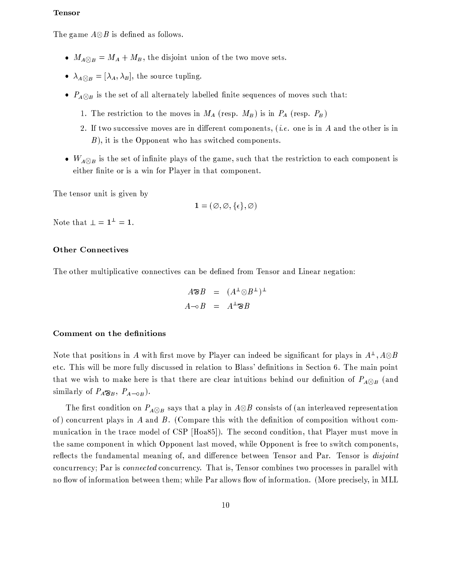# **Tensor**

The game  $A \otimes B$  is defined as follows.

- $M_{A\otimes B} = M_A + M_B$ , the disjoint union of the two move sets.
- $\lambda_{A\otimes B} = [\lambda_A, \lambda_B]$ , the source tupling.
- $P_{A \otimes B}$  is the set of all alternately labelled finite sequences of moves such that:
	- 1. The restriction to the moves in  $M_A$  (resp.  $M_B$ ) is in  $P_A$  (resp.  $P_B$ )
	- 2. If two successive moves are in different components, (*i.e.* one is in A and the other is in  $B$ ), it is the Opponent who has switched components.
- $W_{A\otimes B}$  is the set of infinite plays of the game, such that the restriction to each component is either finite or is a win for Player in that component.

The tensor unit is given by

$$
\mathbf{1} = (\varnothing, \varnothing, \{\epsilon\}, \varnothing)
$$

Note that  $\bot = 1^{\bot} = 1$ .

# **Other Connectives**

The other multiplicative connectives can be defined from Tensor and Linear negation:

$$
A \mathfrak{B} = (A^{\perp} \otimes B^{\perp})^{\perp}
$$
  

$$
A \neg \circ B = A^{\perp} \mathfrak{B} B
$$

# Comment on the definitions

Note that positions in A with first move by Player can indeed be significant for plays in  $A^{\perp}$ ,  $A \otimes B$ etc. This will be more fully discussed in relation to Blass' definitions in Section 6. The main point that we wish to make here is that there are clear intuitions behind our definition of  $P_{A\otimes B}$  (and similarly of  $P_A \otimes_B$ ,  $P_{A \to \circ B}$ ).

The first condition on  $P_{A\otimes B}$  says that a play in  $A\otimes B$  consists of (an interleaved representation of) concurrent plays in A and B. (Compare this with the definition of composition without communication in the trace model of CSP [Hoa85]). The second condition, that Player must move in the same component in which Opponent last moved, while Opponent is free to switch components, reflects the fundamental meaning of, and difference between Tensor and Par. Tensor is disjoint concurrency; Par is *connected* concurrency. That is, Tensor combines two processes in parallel with no flow of information between them; while Par allows flow of information. (More precisely, in MLL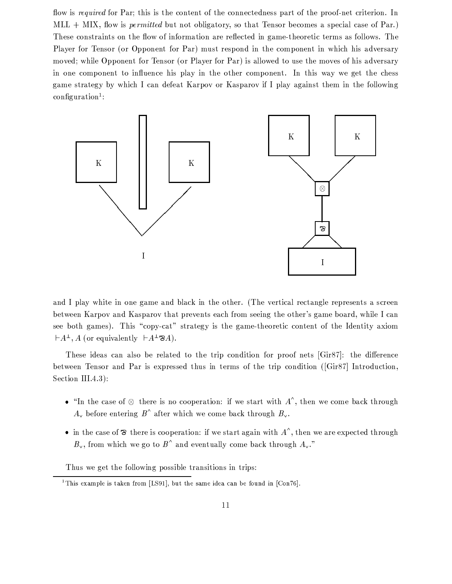flow is required for Par; this is the content of the connectedness part of the proof-net criterion. In  $MLL + MIX$ , flow is *permitted* but not obligatory, so that Tensor becomes a special case of Par.) These constraints on the flow of information are reflected in game-theoretic terms as follows. The Player for Tensor (or Opponent for Par) must respond in the component in which his adversary moved; while Opponent for Tensor (or Player for Par) is allowed to use the moves of his adversary in one component to influence his play in the other component. In this way we get the chess game strategy by which I can defeat Karpov or Kasparov if I play against them in the following  $\text{configuration}^1$ :



and I play white in one game and black in the other. (The vertical rectangle represents a screen between Karpov and Kasparov that prevents each from seeing the other's game board, while I can see both games). This "copy-cat" strategy is the game-theoretic content of the Identity axiom  $\vdash A^{\perp}, A$  (or equivalently  $\vdash A^{\perp} \otimes A$ ).

These ideas can also be related to the trip condition for proof nets [Gir87]: the difference between Tensor and Par is expressed thus in terms of the trip condition ([Gir87] Introduction, Section III.4.3):

- "In the case of  $\otimes$  there is no cooperation: if we start with  $A^{\wedge}$ , then we come back through  $A_{v}$  before entering  $B^{\wedge}$  after which we come back through  $B_{v}$ .
- in the case of  $\otimes$  there is cooperation: if we start again with  $A^{\wedge}$ , then we are expected through  $B_{\nu}$ , from which we go to  $B^{\wedge}$  and eventually come back through  $A_{\nu}$ ."

Thus we get the following possible transitions in trips:

<sup>&</sup>lt;sup>1</sup>This example is taken from [LS91], but the same idea can be found in [Con76].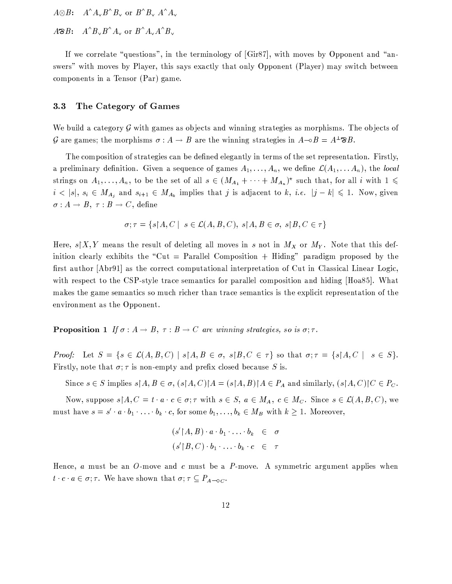$A \otimes B: A^A A_\vee B^A B_\vee$  or  $B^A B_\vee A^A A_\vee$ 

 $A\mathcal{B}B$ :  $A^{\wedge}B_{\vee}B^{\wedge}A_{\vee}$  or  $B^{\wedge}A_{\vee}A^{\wedge}B_{\vee}$ 

If we correlate "questions", in the terminology of [Gir87], with moves by Opponent and "answers" with moves by Player, this says exactly that only Opponent (Player) may switch between components in a Tensor (Par) game.

### 3.3 The Category of Games

We build a category  $\mathcal G$  with games as objects and winning strategies as morphisms. The objects of G are games; the morphisms  $\sigma : A \to B$  are the winning strategies in  $A \rightarrow B = A^{\perp} \mathcal{B}B$ .

The composition of strategies can be defined elegantly in terms of the set representation. Firstly, a preliminary definition. Given a sequence of games  $A_1, \ldots, A_n$ , we define  $\mathcal{L}(A_1, \ldots, A_n)$ , the local strings on  $A_1, \ldots, A_n$ , to be the set of all  $s \in (M_{A_1} + \cdots + M_{A_n})^{\star}$  such that, for all i with  $1 \leq$  $i < |s|, s_i \in M_{A_j}$  and  $s_{i+1} \in M_{A_k}$  implies that j is adjacent to k, *i.e.*  $|j - k| \leq 1$ . Now, given  $\sigma: A \to B, \tau: B \to C$ , define

$$
\sigma; \tau = \{ s \mid A, C \mid s \in \mathcal{L}(A, B, C), s \mid A, B \in \sigma, s \mid B, C \in \tau \}
$$

Here,  $s|X, Y$  means the result of deleting all moves in s not in  $M_X$  or  $M_Y$ . Note that this definition clearly exhibits the "Cut = Parallel Composition + Hiding" paradigm proposed by the first author [Abr91] as the correct computational interpretation of Cut in Classical Linear Logic, with respect to the CSP-style trace semantics for parallel composition and hiding [Hoa85]. What makes the game semantics so much richer than trace semantics is the explicit representation of the environment as the Opponent.

**Proposition 1** If  $\sigma : A \to B$ ,  $\tau : B \to C$  are winning strategies, so is  $\sigma : \tau$ .

*Proof:* Let  $S = \{s \in \mathcal{L}(A, B, C) \mid s \mid A, B \in \sigma, s \mid B, C \in \tau\}$  so that  $\sigma; \tau = \{s \mid A, C \mid s \in S\}.$ Firstly, note that  $\sigma$ ;  $\tau$  is non-empty and prefix closed because S is.

Since  $s \in S$  implies  $s \upharpoonright A, B \in \sigma$ ,  $(s \upharpoonright A, C) \upharpoonright A = (s \upharpoonright A, B) \upharpoonright A \in P_A$  and similarly,  $(s \upharpoonright A, C) \upharpoonright C \in P_C$ .

Now, suppose  $s \nvert A, C = t \cdot a \cdot c \in \sigma; \tau$  with  $s \in S$ ,  $a \in M_A$ ,  $c \in M_C$ . Since  $s \in \mathcal{L}(A, B, C)$ , we must have  $s = s' \cdot a \cdot b_1 \cdot \ldots \cdot b_k \cdot c$ , for some  $b_1, \ldots, b_k \in M_B$  with  $k \geq 1$ . Moreover,

$$
(s' \upharpoonright A, B) \cdot a \cdot b_1 \cdot \ldots \cdot b_k \in \sigma
$$
  

$$
(s' \upharpoonright B, C) \cdot b_1 \cdot \ldots \cdot b_k \cdot c \in \tau
$$

Hence,  $a$  must be an  $O$ -move and  $c$  must be a  $P$ -move. A symmetric argument applies when  $t \cdot c \cdot a \in \sigma$ ;  $\tau$ . We have shown that  $\sigma$ ;  $\tau \subseteq P_{A \to 0}$ .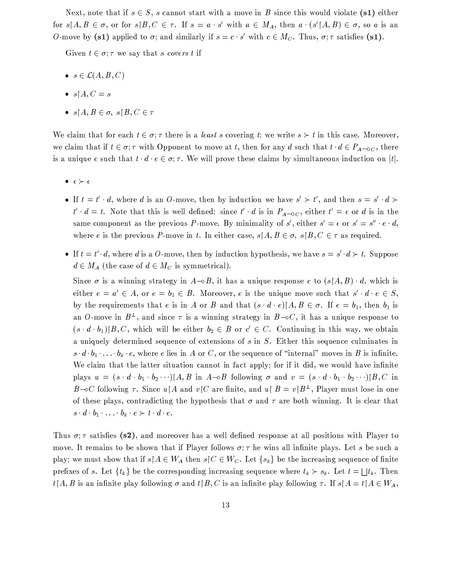Next, note that if  $s \in S$ , s cannot start with a move in B since this would violate (s1) either for  $s \upharpoonright A, B \in \sigma$ , or for  $s \upharpoonright B, C \in \tau$ . If  $s = a \cdot s'$  with  $a \in M_A$ , then  $a \cdot (s' \upharpoonright A, B) \in \sigma$ , so a is an O-move by (s1) applied to  $\sigma$ ; and similarly if  $s = c \cdot s'$  with  $c \in M_C$ . Thus,  $\sigma$ ;  $\tau$  satisfies (s1).

Given  $t \in \sigma$ ;  $\tau$  we say that s covers t if

- $s \in \mathcal{L}(A, B, C)$
- $s \upharpoonright A, C = s$
- $s \upharpoonright A, B \in \sigma, s \upharpoonright B, C \in \tau$

We claim that for each  $t \in \sigma$ ;  $\tau$  there is a *least s* covering t; we write  $s > t$  in this case. Moreover, we claim that if  $t \in \sigma$ ;  $\tau$  with Opponent to move at t, then for any d such that  $t \cdot d \in P_{A \to C}$ , there is a unique e such that  $t \cdot d \cdot e \in \sigma; \tau$ . We will prove these claims by simultaneous induction on |t|.

- $\bullet \ \epsilon \succ \epsilon$
- If  $t = t' \cdot d$ , where d is an O-move, then by induction we have  $s' \succ t'$ , and then  $s = s' \cdot d$  $t' \cdot d = t$ . Note that this is well defined: since  $t' \cdot d$  is in  $P_{A-0C}$ , either  $t' = \epsilon$  or d is in the same component as the previous P-move. By minimality of s', either  $s' = \epsilon$  or  $s' = s'' \cdot \epsilon \cdot d$ , where e is the previous P-move in t. In either case,  $s \upharpoonright A, B \in \sigma$ ,  $s \upharpoonright B, C \in \tau$  as required.
- If  $t = t' \cdot d$ , where d is a O-move, then by induction hypothesis, we have  $s = s' \cdot d \succ t$ . Suppose  $d \in M_A$  (the case of  $d \in M_C$  is symmetrical).

Since  $\sigma$  is a winning strategy in  $A \rightarrow B$ , it has a unique response e to  $(s \nA, B) \cdot d$ , which is either  $e = a' \in A$ , or  $e = b_1 \in B$ . Moreover, e is the unique move such that  $s' \cdot d \cdot e \in S$ , by the requirements that e is in A or B and that  $(s \cdot d \cdot e)/A$ ,  $B \in \sigma$ . If  $e = b_1$ , then  $b_1$  is an O-move in  $B^{\perp}$ , and since  $\tau$  is a winning strategy in  $B\text{-}oC$ , it has a unique response to  $(s \cdot d \cdot b_1) | B, C$ , which will be either  $b_2 \in B$  or  $c' \in C$ . Continuing in this way, we obtain a uniquely determined sequence of extensions of  $s$  in  $S$ . Either this sequence culminates in  $s \cdot d \cdot b_1 \cdot \ldots \cdot b_k \cdot e$ , where e lies in A or C, or the sequence of "internal" moves in B is infinite. We claim that the latter situation cannot in fact apply; for if it did, we would have infinite plays  $u = (s \cdot d \cdot b_1 \cdot b_2 \cdots) A, B$  in  $A \rightarrow B$  following  $\sigma$  and  $v = (s \cdot d \cdot b_1 \cdot b_2 \cdots) B, C$  in B-oC following  $\tau$ . Since  $u \upharpoonright A$  and  $v \upharpoonright C$  are finite, and  $u \upharpoonright B = v \upharpoonright B^{\perp}$ , Player must lose in one of these plays, contradicting the hypothesis that  $\sigma$  and  $\tau$  are both winning. It is clear that  $s \cdot d \cdot b_1 \cdot \ldots \cdot b_k \cdot e \succ t \cdot d \cdot e.$ 

Thus  $\sigma$ ;  $\tau$  satisfies (s2), and moreover has a well defined response at all positions with Player to move. It remains to be shown that if Player follows  $\sigma$ ;  $\tau$  he wins all infinite plays. Let s be such a play; we must show that if  $s \upharpoonright A \in W_A$  then  $s \upharpoonright C \in W_C$ . Let  $\{s_k\}$  be the increasing sequence of finite prefixes of s. Let  $\{t_k\}$  be the corresponding increasing sequence where  $t_k \succ s_k$ . Let  $t = \bigsqcup t_k$ . Then  $t \upharpoonright A, B$  is an infinite play following  $\sigma$  and  $t \upharpoonright B, C$  is an infinite play following  $\tau$ . If  $s \upharpoonright A = t \upharpoonright A \in W_A$ ,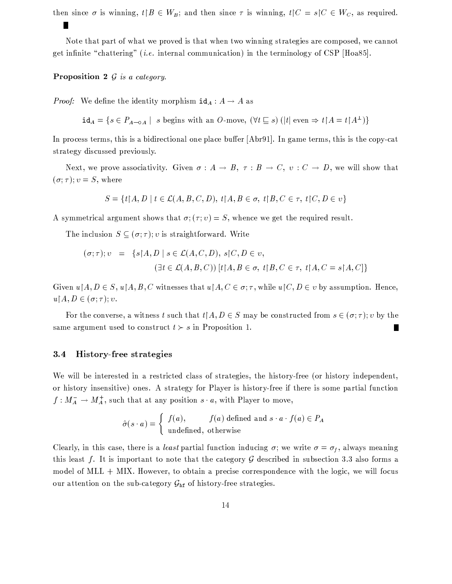then since  $\sigma$  is winning,  $t \upharpoonright B \in W_B$ ; and then since  $\tau$  is winning,  $t \upharpoonright C = s \upharpoonright C \in W_C$ , as required.

Note that part of what we proved is that when two winning strategies are composed, we cannot get infinite "chattering" (*i.e.* internal communication) in the terminology of CSP [Hoa85].

**Proposition 2**  $G$  is a category.

*Proof:* We define the identity morphism  $id_A : A \rightarrow A$  as

 $id_A = \{s \in P_{A \to 0A} \mid s \text{ begins with an } O \text{-move}, (\forall t \subseteq s) (|t| \text{ even } \Rightarrow t \upharpoonright A = t \upharpoonright A^{\perp})\}$ 

In process terms, this is a bidirectional one place buffer  $[Abr91]$ . In game terms, this is the copy-cat strategy discussed previously.

Next, we prove associativity. Given  $\sigma : A \to B$ ,  $\tau : B \to C$ ,  $v : C \to D$ , we will show that  $(\sigma;\tau); v = S$ , where

$$
S = \{t \mid A, D \mid t \in \mathcal{L}(A, B, C, D), t \mid A, B \in \sigma, t \mid B, C \in \tau, t \mid C, D \in v\}
$$

A symmetrical argument shows that  $\sigma$ ;  $(\tau; v) = S$ , whence we get the required result.

The inclusion  $S \subseteq (\sigma, \tau)$ ; v is straightforward. Write

$$
(\sigma; \tau); v = \{s \mid A, D \mid s \in \mathcal{L}(A, C, D), s \mid C, D \in v,
$$
  

$$
(\exists t \in \mathcal{L}(A, B, C)) [t \mid A, B \in \sigma, t \mid B, C \in \tau, t \mid A, C = s \mid A, C] \}
$$

Given  $u \nvert A, D \in S$ ,  $u \nvert A, B, C$  witnesses that  $u \nvert A, C \in \sigma$ ;  $\tau$ , while  $u \nvert C, D \in v$  by assumption. Hence,  $u \upharpoonright A, D \in (\sigma; \tau); v.$ 

For the converse, a witness t such that  $t \mid A, D \in S$  may be constructed from  $s \in (\sigma, \tau); v$  by the same argument used to construct  $t > s$  in Proposition 1. П

### **History-free strategies**  $3.4$

We will be interested in a restricted class of strategies, the history-free (or history independent, or history insensitive) ones. A strategy for Player is history-free if there is some partial function  $f: M_A^- \to M_A^+$ , such that at any position  $s \cdot a$ , with Player to move,

$$
\hat{\sigma}(s \cdot a) = \begin{cases} f(a), & f(a) \text{ defined and } s \cdot a \cdot f(a) \in P_A \\ \text{undefined, otherwise} \end{cases}
$$

Clearly, in this case, there is a *least* partial function inducing  $\sigma$ ; we write  $\sigma = \sigma_f$ , always meaning this least f. It is important to note that the category  $\mathcal G$  described in subsection 3.3 also forms a model of MLL + MIX. However, to obtain a precise correspondence with the logic, we will focus our attention on the sub-category  $\mathcal{G}_{\text{hf}}$  of history-free strategies.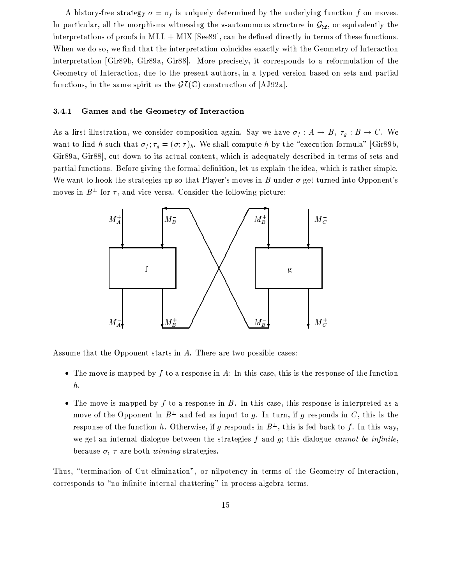A history-free strategy  $\sigma = \sigma_f$  is uniquely determined by the underlying function f on moves. In particular, all the morphisms witnessing the  $\star$ -autonomous structure in  $G_{\text{hf}}$ , or equivalently the interpretations of proofs in MLL  $+$  MIX [See89], can be defined directly in terms of these functions. When we do so, we find that the interpretation coincides exactly with the Geometry of Interaction interpretation [Gir89b, Gir89a, Gir88]. More precisely, it corresponds to a reformulation of the Geometry of Interaction, due to the present authors, in a typed version based on sets and partial functions, in the same spirit as the  $\mathcal{GI}(\mathbb{C})$  construction of [AJ92a].

### Games and the Geometry of Interaction 3.4.1

As a first illustration, we consider composition again. Say we have  $\sigma_f : A \to B$ ,  $\tau_g : B \to C$ . We want to find h such that  $\sigma_f$ ;  $\tau_g = (\sigma, \tau)_h$ . We shall compute h by the "execution formula" [Gir89b, Gir89a, Gir88], cut down to its actual content, which is adequately described in terms of sets and partial functions. Before giving the formal definition, let us explain the idea, which is rather simple. We want to hook the strategies up so that Player's moves in B under  $\sigma$  get turned into Opponent's moves in  $B^{\perp}$  for  $\tau$ , and vice versa. Consider the following picture:



Assume that the Opponent starts in A. There are two possible cases:

- The move is mapped by  $f$  to a response in  $A$ : In this case, this is the response of the function  $\boldsymbol{h}$ .
- The move is mapped by  $f$  to a response in  $B$ . In this case, this response is interpreted as a move of the Opponent in  $B^{\perp}$  and fed as input to g. In turn, if g responds in C, this is the response of the function h. Otherwise, if g responds in  $B^{\perp}$ , this is fed back to f. In this way, we get an internal dialogue between the strategies  $f$  and  $g$ ; this dialogue *cannot* be infinite, because  $\sigma$ ,  $\tau$  are both *winning* strategies.

Thus, "termination of Cut-elimination", or nilpotency in terms of the Geometry of Interaction, corresponds to "no infinite internal chattering" in process-algebra terms.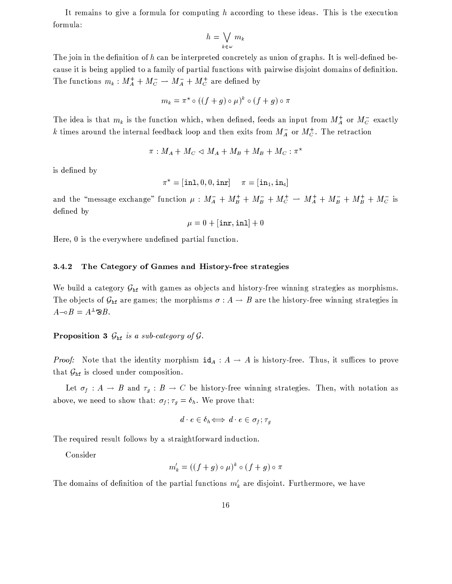It remains to give a formula for computing  $h$  according to these ideas. This is the execution formula:

$$
h = \bigvee_{k \in \omega} m_k
$$

The join in the definition of  $h$  can be interpreted concretely as union of graphs. It is well-defined because it is being applied to a family of partial functions with pairwise disjoint domains of definition. The functions  $m_k : M_A^+ + M_C^- \to M_A^- + M_C^+$  are defined by

$$
m_k = \pi^* \circ ((f+g) \circ \mu)^k \circ (f+g) \circ \pi
$$

The idea is that  $m_k$  is the function which, when defined, feeds an input from  $M_A^+$  or  $M_C^-$  exactly k times around the internal feedback loop and then exits from  $M_A^-$  or  $M_C^+$ . The retraction

$$
\pi: M_A + M_C \triangleleft M_A + M_B + M_B + M_C : \pi^*
$$

is defined by

$$
\pi^\star = [\texttt{in1}, 0, 0, \texttt{inr}] \hspace{5mm} \pi = [\texttt{in}_1, \texttt{in}_4]
$$

and the "message exchange" function  $\mu$  :  $M_A^- + M_B^+ + M_C^- + M_A^+ + M_B^- + M_B^+ + M_C^-$  is defined by

$$
\mu=0+[\texttt{inr},\texttt{inl}]+0
$$

Here, 0 is the everywhere undefined partial function.

#### 3.4.2 The Category of Games and History-free strategies

We build a category  $G_{\text{hf}}$  with games as objects and history-free winning strategies as morphisms. The objects of  $\mathcal{G}_{\text{hf}}$  are games; the morphisms  $\sigma : A \to B$  are the history-free winning strategies in  $A - \circ B = A^{\perp} \mathfrak{B} B.$ 

# **Proposition 3**  $G_{\text{hf}}$  is a sub-category of  $G$ .

*Proof:* Note that the identity morphism  $id_A : A \to A$  is history-free. Thus, it suffices to prove that  $\mathcal{G}_{\text{hf}}$  is closed under composition.

Let  $\sigma_f: A \to B$  and  $\tau_g: B \to C$  be history-free winning strategies. Then, with notation as above, we need to show that:  $\sigma_f$ ;  $\tau_g = \delta_h$ . We prove that:

$$
d \cdot e \in \delta_h \Longleftrightarrow d \cdot e \in \sigma_f; \tau_g
$$

The required result follows by a straightforward induction.

Consider

$$
m'_{k} = ((f + g) \circ \mu)^{k} \circ (f + g) \circ \pi
$$

The domains of definition of the partial functions  $m'_k$  are disjoint. Furthermore, we have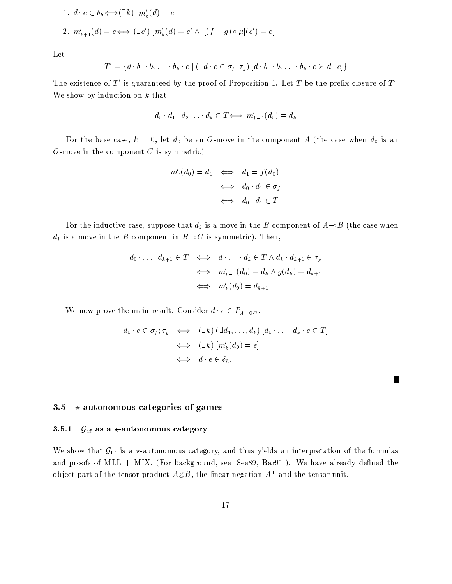1. 
$$
d \cdot e \in \delta_h \Longleftrightarrow (\exists k) [m'_k(d) = e]
$$
  
\n2.  $m'_{k+1}(d) = e \Longleftrightarrow (\exists e') [m'_k(d) = e' \land [(f+g) \circ \mu](e') = e]$ 

Let

$$
T' = \{d \cdot b_1 \cdot b_2 \ldots \cdot b_k \cdot e \mid (\exists d \cdot e \in \sigma_f; \tau_g) [d \cdot b_1 \cdot b_2 \ldots \cdot b_k \cdot e \succ d \cdot e] \}
$$

The existence of  $T'$  is guaranteed by the proof of Proposition 1. Let T be the prefix closure of  $T'$ . We show by induction on  $k$  that

$$
d_0 \cdot d_1 \cdot d_2 \ldots \cdot d_k \in T \Longleftrightarrow m'_{k-1}(d_0) = d_k
$$

For the base case,  $k = 0$ , let  $d_0$  be an O-move in the component A (the case when  $d_0$  is an  $O$ -move in the component  $C$  is symmetric)

$$
m'_0(d_0) = d_1 \iff d_1 = f(d_0)
$$
  

$$
\iff d_0 \cdot d_1 \in \sigma_f
$$
  

$$
\iff d_0 \cdot d_1 \in T
$$

For the inductive case, suppose that  $d_k$  is a move in the B-component of  $A \rightarrow B$  (the case when  $d_k$  is a move in the B component in  $B\text{-}oC$  is symmetric). Then,

$$
d_0 \cdot \ldots \cdot d_{k+1} \in T \iff d \cdot \ldots \cdot d_k \in T \land d_k \cdot d_{k+1} \in \tau_g
$$
  

$$
\iff m'_{k-1}(d_0) = d_k \land g(d_k) = d_{k+1}
$$
  

$$
\iff m'_k(d_0) = d_{k+1}
$$

We now prove the main result. Consider  $d \cdot e \in P_{A \to \mathbb{C}}$ .

$$
d_0 \cdot e \in \sigma_f; \tau_g \iff (\exists k) (\exists d_1, \dots, d_k) [d_0 \cdot \dots \cdot d_k \cdot e \in T]
$$
  

$$
\iff (\exists k) [m'_k(d_0) = e]
$$
  

$$
\iff d \cdot e \in \delta_h.
$$

П

### $3.5$  $\star$ -autonomous categories of games

### $3.5.1$  $G<sub>hf</sub>$  as a \*-autonomous category

We show that  $G_{\text{hf}}$  is a  $\star$ -autonomous category, and thus yields an interpretation of the formulas and proofs of MLL + MIX. (For background, see [See89, Bar91]). We have already defined the object part of the tensor product  $A \otimes B$ , the linear negation  $A^{\perp}$  and the tensor unit.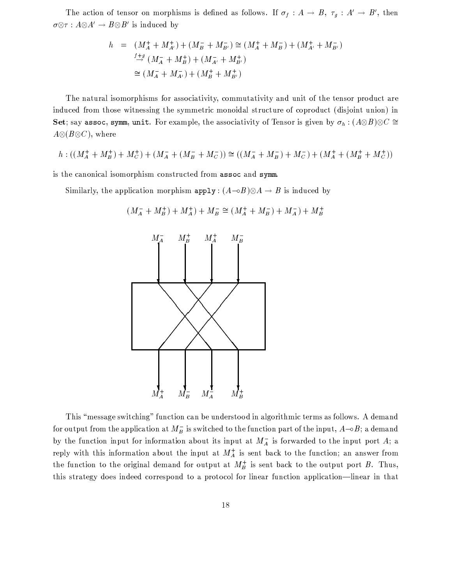The action of tensor on morphisms is defined as follows. If  $\sigma_f : A \to B$ ,  $\tau_g : A' \to B'$ , then  $\sigma \otimes \tau : A \otimes A' \to B \otimes B'$  is induced by

$$
h = (M_A^+ + M_{A'}^+) + (M_B^- + M_{B'}^-) \cong (M_A^+ + M_B^-) + (M_{A'}^+ + M_{B'}^-)
$$
  
\n
$$
\stackrel{f+g}{\to} (M_A^- + M_B^+) + (M_{A'}^- + M_{B'}^+)
$$
  
\n
$$
\cong (M_A^- + M_{A'}^-) + (M_B^+ + M_{B'}^+)
$$

The natural isomorphisms for associativity, commutativity and unit of the tensor product are induced from those witnessing the symmetric monoidal structure of coproduct (disjoint union) in Set; say assoc, symm, unit. For example, the associativity of Tensor is given by  $\sigma_h : (A \otimes B) \otimes C \cong$  $A\otimes (B\otimes C)$ , where

$$
h:((M_A^+ + M_B^+) + M_C^+) + (M_A^- + (M_B^- + M_C^-)) \cong ((M_A^- + M_B^-) + M_C^-) + (M_A^+ + (M_B^+ + M_C^+))
$$

is the canonical isomorphism constructed from assoc and symm.

Similarly, the application morphism  $\text{apply}: (A \rightarrow B) \otimes A \rightarrow B$  is induced by



$$
(M_A^- + M_B^+) + M_A^+) + M_B^- \cong (M_A^+ + M_B^-) + M_A^-) + M_B^+
$$

This "message switching" function can be understood in algorithmic terms as follows. A demand for output from the application at  $M_B^-$  is switched to the function part of the input,  $A\rightarrow B$ ; a demand by the function input for information about its input at  $M_A^-$  is forwarded to the input port A; a reply with this information about the input at  $M_A^+$  is sent back to the function; an answer from the function to the original demand for output at  $M_B^+$  is sent back to the output port B. Thus, this strategy does indeed correspond to a protocol for linear function application—linear in that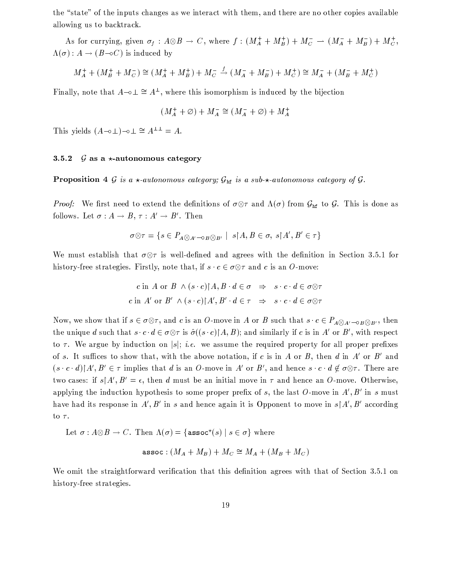the "state" of the inputs changes as we interact with them, and there are no other copies available allowing us to backtrack.

As for currying, given  $\sigma_f : A \otimes B \to C$ , where  $f : (M_A^+ + M_B^+) + M_C^- \to (M_A^- + M_B^-) + M_C^+$ ,  $\Lambda(\sigma): A \to (B \to C)$  is induced by

$$
M_A^+ + (M_B^+ + M_C^-) \cong (M_A^+ + M_B^+) + M_C^- \stackrel{f}{\to} (M_A^- + M_B^-) + M_C^+) \cong M_A^- + (M_B^- + M_C^+)
$$

Finally, note that  $A \rightarrow \perp \cong A^{\perp}$ , where this isomorphism is induced by the bijection

$$
(M_A^+ + \varnothing) + M_A^- \cong (M_A^- + \varnothing) + M_A^+
$$

This yields  $(A-\circ\perp)-\circ\perp\cong A^{\perp\perp}=A$ .

# $G$  as a  $\star$ -autonomous category 3.5.2

**Proposition 4** G is a  $\star$ -autonomous category;  $G_{\text{hf}}$  is a sub- $\star$ -autonomous category of G.

*Proof:* We first need to extend the definitions of  $\sigma \otimes \tau$  and  $\Lambda(\sigma)$  from  $\mathcal{G}_{\rm hf}$  to  $\mathcal{G}$ . This is done as follows. Let  $\sigma : A \to B$ ,  $\tau : A' \to B'$ . Then

$$
\sigma \otimes \tau = \{ s \in P_{A \otimes A' \to \sigma B \otimes B'} \mid s \upharpoonright A, B \in \sigma, s \upharpoonright A', B' \in \tau \}
$$

We must establish that  $\sigma \otimes \tau$  is well-defined and agrees with the definition in Section 3.5.1 for history-free strategies. Firstly, note that, if  $s \cdot c \in \sigma \otimes \tau$  and c is an O-move:

$$
c \text{ in } A \text{ or } B \land (s \cdot c) \upharpoonright A, B \cdot d \in \sigma \Rightarrow s \cdot c \cdot d \in \sigma \otimes \tau
$$
  

$$
c \text{ in } A' \text{ or } B' \land (s \cdot c) \upharpoonright A', B' \cdot d \in \tau \Rightarrow s \cdot c \cdot d \in \sigma \otimes \tau
$$

Now, we show that if  $s \in \sigma \otimes \tau$ , and c is an O-move in A or B such that  $s \cdot c \in P_{A \otimes A' - \sigma B \otimes B'}$ , then the unique d such that  $s \cdot c \cdot d \in \sigma \otimes \tau$  is  $\hat{\sigma}((s \cdot c)|A, B)$ ; and similarly if c is in A' or B', with respect to  $\tau$ . We argue by induction on |s|; *i.e.* we assume the required property for all proper prefixes of s. It suffices to show that, with the above notation, if c is in A or B, then d in A' or B' and  $(s \cdot c \cdot d)$   $A', B' \in \tau$  implies that d is an O-move in A' or B', and hence  $s \cdot c \cdot d \notin \sigma \otimes \tau$ . There are two cases: if  $s \upharpoonright A', B' = \epsilon$ , then d must be an initial move in  $\tau$  and hence an O-move. Otherwise, applying the induction hypothesis to some proper prefix of s, the last O-move in  $A', B'$  in s must have had its response in A', B' in s and hence again it is Opponent to move in  $s \upharpoonright A', B'$  according to  $\tau$ .

Let  $\sigma : A \otimes B \to C$ . Then  $\Lambda(\sigma) = {\text{assoc}^*(s) | s \in \sigma}$  where

$$
\texttt{assoc}: (M_A + M_B) + M_C \cong M_A + (M_B + M_C)
$$

We omit the straightforward verification that this definition agrees with that of Section 3.5.1 on history-free strategies.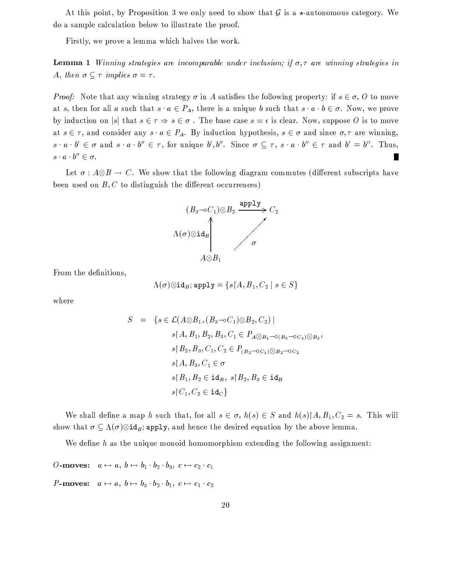At this point, by Proposition 3 we only need to show that  $\mathcal G$  is a  $\star$ -autonomous category. We do a sample calculation below to illustrate the proof.

Firstly, we prove a lemma which halves the work.

**Lemma 1** Winning strategies are incomparable under inclusion; if  $\sigma, \tau$  are winning strategies in A, then  $\sigma \subset \tau$  implies  $\sigma = \tau$ .

*Proof:* Note that any winning strategy  $\sigma$  in A satisfies the following property: if  $s \in \sigma$ , O to move at s, then for all a such that  $s \cdot a \in P_A$ , there is a unique b such that  $s \cdot a \cdot b \in \sigma$ . Now, we prove by induction on |s| that  $s \in \tau \Rightarrow s \in \sigma$ . The base case  $s = \epsilon$  is clear. Now, suppose O is to move at  $s \in \tau$ , and consider any  $s \cdot a \in P_A$ . By induction hypothesis,  $s \in \sigma$  and since  $\sigma, \tau$  are winning,  $s \cdot a \cdot b' \in \sigma$  and  $s \cdot a \cdot b'' \in \tau$ , for unique  $b', b''$ . Since  $\sigma \subseteq \tau$ ,  $s \cdot a \cdot b'' \in \tau$  and  $b' = b''$ . Thus,  $s \cdot a \cdot b'' \in \sigma$ . П

Let  $\sigma : A \otimes B \to C$ . We show that the following diagram commutes (different subscripts have been used on  $B, C$  to distinguish the different occurrences)



From the definitions,

$$
\Lambda(\sigma)\otimes\text{id}_B;\texttt{apply}=\{s\!\!\upharpoonright\!\! A,B_1,C_2\mid s\in S\}
$$

where

$$
S = \{ s \in \mathcal{L}(A \otimes B_1, (B_3 \neg oC_1) \otimes B_2, C_2) \mid
$$
  
\n
$$
s \upharpoonright A, B_1, B_2, B_3, C_1 \in P_{A \otimes B_1 \neg o(B_3 \neg oC_1) \otimes B_2},
$$
  
\n
$$
s \upharpoonright B_2, B_3, C_1, C_2 \in P_{(B_3 \neg oC_1) \otimes B_2 \neg oC_2}
$$
  
\n
$$
s \upharpoonright A, B_3, C_1 \in \sigma
$$
  
\n
$$
s \upharpoonright B_1, B_2 \in \text{id}_B, s \upharpoonright B_2, B_3 \in \text{id}_B
$$
  
\n
$$
s \upharpoonright C_1, C_2 \in \text{id}_C \}
$$

We shall define a map h such that, for all  $s \in \sigma$ ,  $h(s) \in S$  and  $h(s) \upharpoonright A$ ,  $B_1, C_2 = s$ . This will show that  $\sigma \subseteq \Lambda(\sigma) \otimes id_B$ ; apply, and hence the desired equation by the above lemma.

We define  $h$  as the unique monoid homomorphism extending the following assignment:

O-moves:  $a \mapsto a, b \mapsto b_1 \cdot b_2 \cdot b_3, c \mapsto c_2 \cdot c_1$ **P-moves:**  $a \mapsto a, b \mapsto b_3 \cdot b_2 \cdot b_1, c \mapsto c_1 \cdot c_2$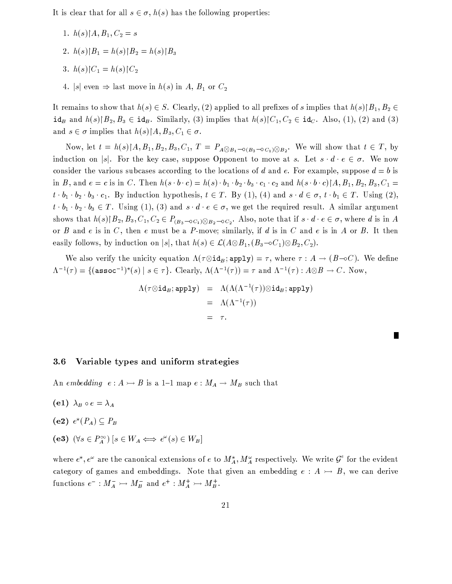It is clear that for all  $s \in \sigma$ ,  $h(s)$  has the following properties:

- 1.  $h(s)$  |  $A, B_1, C_2 = s$
- 2.  $h(s)|B_1 = h(s)|B_2 = h(s)|B_3$
- 3.  $h(s)|C_1 = h(s)|C_2$
- 4. |s| even  $\Rightarrow$  last move in  $h(s)$  in A,  $B_1$  or  $C_2$

It remains to show that  $h(s) \in S$ . Clearly, (2) applied to all prefixes of s implies that  $h(s) \mid B_1, B_2 \in$  $id_B$  and  $h(s) \mid B_2, B_3 \in id_B$ . Similarly, (3) implies that  $h(s) \mid C_1, C_2 \in id_C$ . Also, (1), (2) and (3) and  $s \in \sigma$  implies that  $h(s)[A, B_3, C_1 \in \sigma$ .

Now, let  $t = h(s) \upharpoonright A, B_1, B_2, B_3, C_1, T = P_{A \otimes B_1 - O(B_3 - O(C_1) \otimes B_2)}$ . We will show that  $t \in T$ , by induction on s. For the key case, suppose Opponent to move at s. Let  $s \cdot d \cdot e \in \sigma$ . We now consider the various subcases according to the locations of d and e. For example, suppose  $d = b$  is in B, and  $e = c$  is in C. Then  $h(s \cdot b \cdot c) = h(s) \cdot b_1 \cdot b_2 \cdot b_3 \cdot c_1 \cdot c_2$  and  $h(s \cdot b \cdot c) \upharpoonright A, B_1, B_2, B_3, C_1 =$  $t \cdot b_1 \cdot b_2 \cdot b_3 \cdot c_1$ . By induction hypothesis,  $t \in T$ . By (1), (4) and  $s \cdot d \in \sigma$ ,  $t \cdot b_1 \in T$ . Using (2),  $t \cdot b_1 \cdot b_2 \cdot b_3 \in T$ . Using (1), (3) and  $s \cdot d \cdot e \in \sigma$ , we get the required result. A similar argument shows that  $h(s)[B_2, B_3, C_1, C_2 \in P_{(B_3 \sim 0 C_1) \otimes B_2 \sim 0 C_2}$ . Also, note that if  $s \cdot d \cdot e \in \sigma$ , where d is in A or  $B$  and  $e$  is in  $C$ , then  $e$  must be a  $P$ -move; similarly, if  $d$  is in  $C$  and  $e$  is in  $A$  or  $B$ . It then easily follows, by induction on |s|, that  $h(s) \in \mathcal{L}(A \otimes B_1, (B_3 \multimap C_1) \otimes B_2, C_2)$ .

We also verify the unicity equation  $\Lambda(\tau \otimes id_B; \text{apply}) = \tau$ , where  $\tau : A \to (B \to C)$ . We define  $\Lambda^{-1}(\tau) = \{(\text{assoc}^{-1})^*(s) \mid s \in \tau\}.$  Clearly,  $\Lambda(\Lambda^{-1}(\tau)) = \tau$  and  $\Lambda^{-1}(\tau) : A \otimes B \to C.$  Now,

$$
\Lambda(\tau \otimes id_B; \text{apply}) = \Lambda(\Lambda(\Lambda^{-1}(\tau)) \otimes id_B; \text{apply})
$$
  
=  $\Lambda(\Lambda^{-1}(\tau))$   
=  $\tau$ .

# $3.6$ Variable types and uniform strategies

An embedding  $e: A \rightarrow B$  is a 1-1 map  $e: M_A \rightarrow M_B$  such that

- (e1)  $\lambda_B \circ e = \lambda_A$
- (e2)  $e^*(P_A) \subseteq P_B$
- (e3)  $(\forall s \in P_A^{\infty}) [s \in W_A \iff e^{\omega}(s) \in W_B]$

where  $e^*, e^{\omega}$  are the canonical extensions of e to  $M_A^*, M_A^{\omega}$  respectively. We write  $\mathcal{G}^e$  for the evident category of games and embeddings. Note that given an embedding  $e : A \rightarrow B$ , we can derive functions  $e^- : M_A^- \rightarrow M_B^-$  and  $e^+ : M_A^+ \rightarrow M_B^+$ .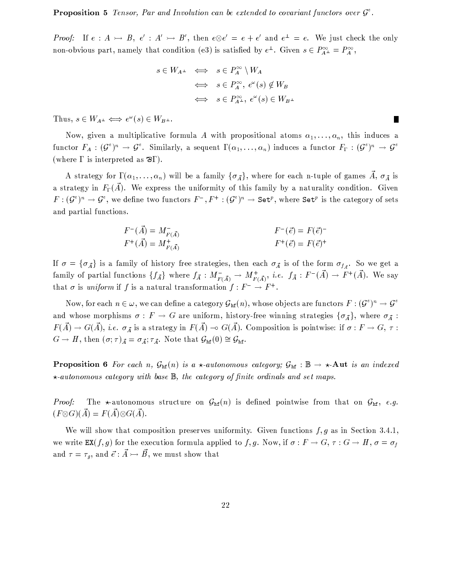**Proposition 5** Tensor, Par and Involution can be extended to covariant functors over  $\mathcal{G}^e$ .

*Proof:* If  $e: A \rightarrow B$ ,  $e': A' \rightarrow B'$ , then  $e \otimes e' = e + e'$  and  $e^{\perp} = e$ . We just check the only non-obvious part, namely that condition (e3) is satisfied by  $e^{\perp}$ . Given  $s \in P_{A^{\perp}}^{\infty} = P_A^{\infty}$ ,

$$
s \in W_{A^{\perp}} \iff s \in P_A^{\infty} \setminus W_A
$$
  

$$
\iff s \in P_A^{\infty}, e^{\omega}(s) \notin W_B
$$
  

$$
\iff s \in P_{A^{\perp}}^{\infty}, e^{\omega}(s) \in W_{B^{\perp}}
$$

Thus,  $s \in W_{A^{\perp}} \Longleftrightarrow e^{\omega}(s) \in W_{B^{\perp}}$ .

Now, given a multiplicative formula A with propositional atoms  $\alpha_1, \ldots, \alpha_n$ , this induces a functor  $F_A: (\mathcal{G}^e)^n \to \mathcal{G}^e$ . Similarly, a sequent  $\Gamma(\alpha_1,\ldots,\alpha_n)$  induces a functor  $F_{\Gamma}: (\mathcal{G}^e)^n \to \mathcal{G}^e$ (where  $\Gamma$  is interpreted as  $\mathcal{B}\Gamma$ ).

A strategy for  $\Gamma(\alpha_1,\ldots,\alpha_n)$  will be a family  $\{\sigma_{\vec{A}}\}\,$ , where for each n-tuple of games  $\vec{A}, \sigma_{\vec{A}}$  is a strategy in  $F_{\Gamma}(\vec{A})$ . We express the uniformity of this family by a naturality condition. Given  $F: (\mathcal{G}^e)^n \to \mathcal{G}^e$ , we define two functors  $F^-, F^+ : (\mathcal{G}^e)^n \to \mathtt{Set}^p$ , where  $\mathtt{Set}^p$  is the category of sets and partial functions.

$$
F^{-}(\vec{A}) = M_{F(\vec{A})}^{-}
$$
  
\n
$$
F^{+}(\vec{A}) = M_{F(\vec{A})}^{+}
$$
  
\n
$$
F^{+}(\vec{e}) = F(\vec{e})^{+}
$$
  
\n
$$
F^{+}(\vec{e}) = F(\vec{e})^{+}
$$

If  $\sigma = {\sigma_{\vec{A}}}$  is a family of history free strategies, then each  $\sigma_{\vec{A}}$  is of the form  $\sigma_{f_{\vec{A}}}$ . So we get a family of partial functions  $\{f_{\vec{A}}\}$  where  $f_{\vec{A}}: M_{F(\vec{A})}^{-} \to M_{F(\vec{A})}^{+}$ , *i.e.*  $f_{\vec{A}}: F^{-}(\vec{A}) \to F^{+}(\vec{A})$ . We say that  $\sigma$  is uniform if f is a natural transformation  $f: F^- \to F^+$ .

Now, for each  $n \in \omega$ , we can define a category  $\mathcal{G}_{\rm hf}(n)$ , whose objects are functors  $F: (\mathcal{G}^e)^n \to \mathcal{G}^e$ and whose morphisms  $\sigma: F \to G$  are uniform, history-free winning strategies  $\{\sigma_{\vec{A}}\}\,$ , where  $\sigma_{\vec{A}}$ :  $F(\vec{A}) \to G(\vec{A}), i.e.$   $\sigma_{\vec{A}}$  is a strategy in  $F(\vec{A}) \to G(\vec{A})$ . Composition is pointwise: if  $\sigma : F \to G$ ,  $\tau :$  $G \to H$ , then  $(\sigma; \tau)_{\vec{A}} = \sigma_{\vec{A}}; \tau_{\vec{A}}$ . Note that  $\mathcal{G}_{\rm hf}(0) \cong \mathcal{G}_{\rm hf}$ .

**Proposition 6** For each n,  $G_{\text{hf}}(n)$  is a  $\star$ -autonomous category;  $G_{\text{hf}}$ :  $\mathbb{B} \to \star$ -Aut is an indexed  $\star$ -autonomous category with base  $\mathbb{B}$ , the category of finite ordinals and set maps.

The  $\star$ -autonomous structure on  $\mathcal{G}_{\text{hf}}(n)$  is defined pointwise from that on  $\mathcal{G}_{\text{hf}}$ , e.g. Proof:  $(F \otimes G)(\vec{A}) = F(\vec{A}) \otimes G(\vec{A}).$ 

We will show that composition preserves uniformity. Given functions  $f, g$  as in Section 3.4.1, we write  $EX(f,g)$  for the execution formula applied to f, g. Now, if  $\sigma : F \to G$ ,  $\tau : G \to H$ ,  $\sigma = \sigma_f$ and  $\tau = \tau_g$ , and  $\vec{e} : \vec{A} \rightarrowtail \vec{B}$ , we must show that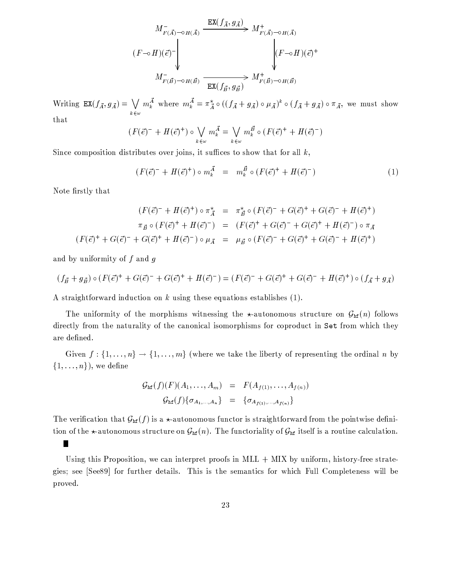$$
M_{F(\vec{A}) \to H(\vec{A})}^{-} \xrightarrow{\operatorname{EX}(f_{\vec{A}}, g_{\vec{A}})} M_{F(\vec{A}) \to H(\vec{A})}^{+}
$$

$$
(F \to H)(\vec{e})^{-} \Bigg|_{H_{F(\vec{B}) \to H(\vec{B})}} \xrightarrow{\operatorname{EX}(f_{\vec{B}}, g_{\vec{B}})} M_{F(\vec{B}) \to H(\vec{B})}^{+}
$$

Writing  $EX(f_{\vec{A}}, g_{\vec{A}}) = \bigvee_{k \in \omega} m_k^{\vec{A}}$  where  $m_k^{\vec{A}} = \pi_{\vec{A}}^{\star} \circ ((f_{\vec{A}} + g_{\vec{A}}) \circ \mu_{\vec{A}})^k \circ (f_{\vec{A}} + g_{\vec{A}}) \circ \pi_{\vec{A}}$ , we must show that

$$
(F(\vec{e})^- + H(\vec{e})^+) \circ \bigvee_{k \in \omega} m_k^{\vec{A}} = \bigvee_{k \in \omega} m_k^{\vec{B}} \circ (F(\vec{e})^+ + H(\vec{e})^-)
$$

Since composition distributes over joins, it suffices to show that for all  $k$ ,

$$
(F(\vec{e})^{-} + H(\vec{e})^{+}) \circ m_{k}^{\vec{A}} = m_{k}^{\vec{B}} \circ (F(\vec{e})^{+} + H(\vec{e})^{-})
$$
\n(1)

Note firstly that

 $\blacksquare$ 

$$
(F(\vec{e})^{-} + H(\vec{e})^{+}) \circ \pi_{\vec{A}}^{*} = \pi_{\vec{B}}^{*} \circ (F(\vec{e})^{-} + G(\vec{e})^{+} + G(\vec{e})^{-} + H(\vec{e})^{+})
$$
  

$$
\pi_{\vec{B}} \circ (F(\vec{e})^{+} + H(\vec{e})^{-}) = (F(\vec{e})^{+} + G(\vec{e})^{-} + G(\vec{e})^{+} + H(\vec{e})^{-}) \circ \pi_{\vec{A}}
$$
  

$$
(F(\vec{e})^{+} + G(\vec{e})^{-} + G(\vec{e})^{+} + H(\vec{e})^{-}) \circ \mu_{\vec{A}} = \mu_{\vec{B}} \circ (F(\vec{e})^{-} + G(\vec{e})^{+} + G(\vec{e})^{-} + H(\vec{e})^{+})
$$

and by uniformity of  $f$  and  $g$ 

$$
(f_{\vec{B}} + g_{\vec{B}}) \circ (F(\vec{e})^+ + G(\vec{e})^- + G(\vec{e})^+ + H(\vec{e})^-) = (F(\vec{e})^- + G(\vec{e})^+ + G(\vec{e})^- + H(\vec{e})^+) \circ (f_{\vec{A}} + g_{\vec{A}})
$$

A straightforward induction on  $k$  using these equations establishes  $(1)$ .

The uniformity of the morphisms witnessing the  $\star$ -autonomous structure on  $\mathcal{G}_{\text{hf}}(n)$  follows directly from the naturality of the canonical isomorphisms for coproduct in Set from which they are defined.

Given  $f: \{1, ..., n\} \rightarrow \{1, ..., m\}$  (where we take the liberty of representing the ordinal n by  $\{1,\ldots,n\}$ , we define

$$
\mathcal{G}_{\rm hf}(f)(F)(A_1,\ldots,A_m) = F(A_{f(1)},\ldots,A_{f(n)})
$$

$$
\mathcal{G}_{\rm hf}(f)\{\sigma_{A_1,\ldots,A_n}\} = \{\sigma_{A_{f(1)},\ldots,A_{f(n)}}\}
$$

The verification that  $\mathcal{G}_{\text{hf}}(f)$  is a  $\star$ -autonomous functor is straightforward from the pointwise definition of the  $\star$ -autonomous structure on  $\mathcal{G}_{\text{hf}}(n)$ . The functoriality of  $\mathcal{G}_{\text{hf}}$  itself is a routine calculation.

Using this Proposition, we can interpret proofs in  $ML + MIX$  by uniform, history-free strategies; see [See89] for further details. This is the semantics for which Full Completeness will be proved.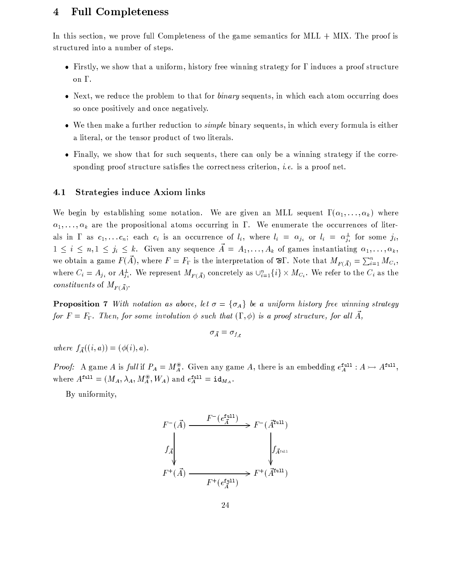# **Full Completeness** 4

In this section, we prove full Completeness of the game semantics for MLL  $+$  MIX. The proof is structured into a number of steps.

- Firstly, we show that a uniform, history free winning strategy for  $\Gamma$  induces a proof structure on Γ.
- Next, we reduce the problem to that for *binary* sequents, in which each atom occurring does so once positively and once negatively.
- We then make a further reduction to *simple* binary sequents, in which every formula is either a literal, or the tensor product of two literals.
- Finally, we show that for such sequents, there can only be a winning strategy if the corresponding proof structure satisfies the correctness criterion, *i.e.* is a proof net.

# Strategies induce Axiom links 4.1

We begin by establishing some notation. We are given an MLL sequent  $\Gamma(\alpha_1,\ldots,\alpha_k)$  where  $\alpha_1, \ldots, \alpha_k$  are the propositional atoms occurring in  $\Gamma$ . We enumerate the occurrences of literals in  $\Gamma$  as  $c_1, \ldots c_n$ ; each  $c_i$  is an occurrence of  $l_i$ , where  $l_i = \alpha_{j_i}$  or  $l_i = \alpha_{j_i}^{\perp}$  for some  $j_i$ ,  $1 \leq i \leq n, 1 \leq j_i \leq k$ . Given any sequence  $\vec{A} = A_1, \ldots, A_k$  of games instantiating  $\alpha_1, \ldots, \alpha_k$ , we obtain a game  $F(\vec{A})$ , where  $F = F_{\Gamma}$  is the interpretation of  $\mathcal{B}\Gamma$ . Note that  $M_{F(\vec{A})} = \sum_{i=1}^{n} M_{C_i}$ , where  $C_i = A_{j_i}$  or  $A_{j_i}^{\perp}$ . We represent  $M_{F(\vec{A})}$  concretely as  $\cup_{i=1}^n \{i\} \times M_{C_i}$ . We refer to the  $C_i$  as the *constituents* of  $M_{F(\vec{A})}$ .

**Proposition 7** With notation as above, let  $\sigma = {\sigma_A}$  be a uniform history free winning strategy for  $F = F_{\Gamma}$ . Then, for some involution  $\phi$  such that  $(\Gamma, \phi)$  is a proof structure, for all  $\vec{A}$ ,

$$
\sigma_{\vec{A}} = \sigma_{f_A}
$$

where  $f_{\vec{A}}((i, a)) = (\phi(i), a)$ .

*Proof:* A game A is full if  $P_A = M_A^{\circledast}$ . Given any game A, there is an embedding  $e_A^{\text{full}}$ :  $A \rightarrowtail A^{\text{full}}$ , where  $A^{\text{full}} = (M_A, \lambda_A, M_A^{\circledast}, W_A)$  and  $e^{\text{full}}_A = \text{id}_{M_A}$ .

By uniformity,

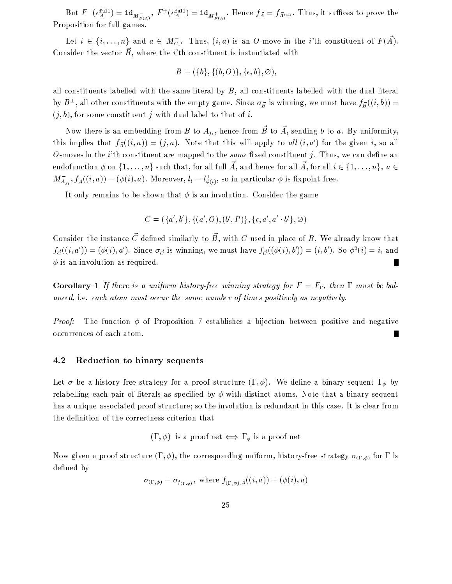But  $F^-(e^{t}M_A) = id_{M_{F(A)}^+}$ ,  $F^+(e^{t}M_A) = id_{M_{F(A)}^+}$ . Hence  $f_{\vec{A}} = f_{\vec{A}^{t_{\text{full}}}}$ . Thus, it suffices to prove the Proposition for full games.

Let  $i \in \{i, ..., n\}$  and  $a \in M_{C_i}^-$ . Thus,  $(i, a)$  is an O-move in the *i*'th constituent of  $F(\vec{A})$ . Consider the vector  $\vec{B}$ , where the *i*'th constituent is instantiated with

$$
B = (\{b\}, \{(b, O)\}, \{\epsilon, b\}, \emptyset),
$$

all constituents labelled with the same literal by  $B$ , all constituents labelled with the dual literal by  $B^{\perp}$ , all other constituents with the empty game. Since  $\sigma_{\vec{B}}$  is winning, we must have  $f_{\vec{B}}((i, b))$  =  $(j, b)$ , for some constituent j with dual label to that of i.

Now there is an embedding from B to  $A_{j_i}$ , hence from  $\vec{B}$  to  $\vec{A}$ , sending b to a. By uniformity, this implies that  $f_{\vec{A}}((i,a)) = (j,a)$ . Note that this will apply to all  $(i,a')$  for the given i, so all O-moves in the *i*'th constituent are mapped to the *same* fixed constituent *j*. Thus, we can define an endofunction  $\phi$  on  $\{1,\ldots,n\}$  such that, for all full  $\vec{A}$ , and hence for all  $\vec{A}$ , for all  $i \in \{1,\ldots,n\}$ ,  $a \in$  $M_{A_{ij}}^-, f_{\tilde{A}}((i,a)) = (\phi(i),a)$ . Moreover,  $l_i = l_{\phi(i)}^{\perp}$ , so in particular  $\phi$  is fixpoint free.

It only remains to be shown that  $\phi$  is an involution. Consider the game

$$
C = (\{a',b'\}, \{(a',O),(b',P)\}, \{\epsilon,a',a'\cdot b'\}, \varnothing)
$$

Consider the instance  $\vec{C}$  defined similarly to  $\vec{B}$ , with C used in place of B. We already know that  $f_{\vec{C}}((i, a')) = (\phi(i), a')$ . Since  $\sigma_{\vec{C}}$  is winning, we must have  $f_{\vec{C}}((\phi(i), b')) = (i, b')$ . So  $\phi^2(i) = i$ , and  $\phi$  is an involution as required. П

**Corollary** 1 If there is a uniform history-free winning strategy for  $F = F_{\Gamma}$ , then  $\Gamma$  must be balanced, i.e. each atom must occur the same number of times positively as negatively.

The function  $\phi$  of Proposition 7 establishes a bijection between positive and negative Proof: occurrences of each atom.

# Reduction to binary sequents 4.2

Let  $\sigma$  be a history free strategy for a proof structure  $(\Gamma, \phi)$ . We define a binary sequent  $\Gamma_{\phi}$  by relabelling each pair of literals as specified by  $\phi$  with distinct atoms. Note that a binary sequent has a unique associated proof structure; so the involution is redundant in this case. It is clear from the definition of the correctness criterion that

 $(\Gamma, \phi)$  is a proof net  $\iff \Gamma_{\phi}$  is a proof net

Now given a proof structure  $(\Gamma, \phi)$ , the corresponding uniform, history-free strategy  $\sigma_{(\Gamma, \phi)}$  for  $\Gamma$  is defined by

$$
\sigma_{(\Gamma,\phi)} = \sigma_{f_{(\Gamma,\phi)}}, \text{ where } f_{(\Gamma,\phi),\vec{A}}((i,a)) = (\phi(i),a)
$$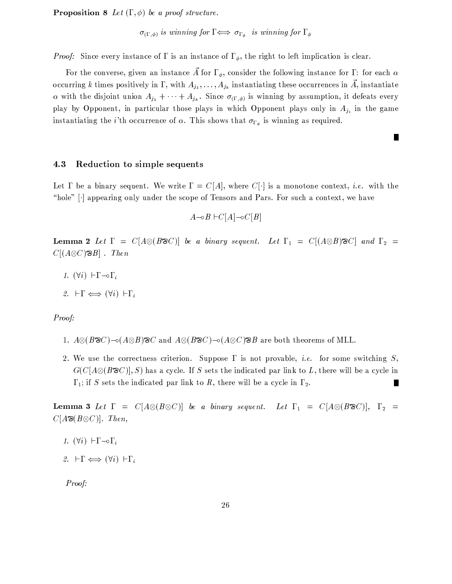**Proposition 8** Let  $(\Gamma, \phi)$  be a proof structure.

 $\sigma_{(\Gamma,\phi)}$  is winning for  $\Gamma \Longleftrightarrow \sigma_{\Gamma_{\phi}}$  is winning for  $\Gamma_{\phi}$ 

*Proof:* Since every instance of  $\Gamma$  is an instance of  $\Gamma_{\phi}$ , the right to left implication is clear.

For the converse, given an instance  $\tilde{A}$  for  $\Gamma_{\phi}$ , consider the following instance for  $\Gamma$ : for each  $\alpha$ occurring k times positively in  $\Gamma$ , with  $A_{j_1}, \ldots, A_{j_k}$  instantiating these occurrences in  $\vec{A}$ , instantiate  $\alpha$  with the disjoint union  $A_{j_1} + \cdots + A_{j_k}$ . Since  $\sigma_{(\Gamma,\phi)}$  is winning by assumption, it defeats every play by Opponent, in particular those plays in which Opponent plays only in  $A_{j_i}$  in the game instantiating the *i*'th occurrence of  $\alpha$ . This shows that  $\sigma_{\Gamma_{\phi}}$  is winning as required.

П

# Reduction to simple sequents 4.3

Let  $\Gamma$  be a binary sequent. We write  $\Gamma = C[A]$ , where  $C[\cdot]$  is a monotone context, *i.e.* with the "hole" [.] appearing only under the scope of Tensors and Pars. For such a context, we have

 $A \neg oB \vdash C[A] \neg oC[B]$ 

**Lemma 2** Let  $\Gamma = C[A \otimes (B \otimes C)]$  be a binary sequent. Let  $\Gamma_1 = C[(A \otimes B) \otimes C]$  and  $\Gamma_2 =$  $C[(A\otimes C)\otimes B]$ . Then

1.  $(\forall i)$   $\vdash \Gamma \neg \circ \Gamma_i$ 

2. 
$$
\vdash \Gamma \Longleftrightarrow (\forall i) \vdash \Gamma_i
$$

# Proof:

- 1.  $A \otimes (B \otimes C) \sim (A \otimes B) \otimes C$  and  $A \otimes (B \otimes C) \sim (A \otimes C) \otimes B$  are both theorems of MLL.
- 2. We use the correctness criterion. Suppose  $\Gamma$  is not provable, *i.e.* for some switching S,  $G(C[A\otimes (B\otimes C)], S)$  has a cycle. If S sets the indicated par link to L, there will be a cycle in  $\Gamma_1$ ; if S sets the indicated par link to R, there will be a cycle in  $\Gamma_2$ . ш

**Lemma 3** Let  $\Gamma = C[A \otimes (B \otimes C)]$  be a binary sequent. Let  $\Gamma_1 = C[A \otimes (B \otimes C)]$ ,  $\Gamma_2 =$  $C[A\otimes C]$ . Then,

- 1.  $(\forall i)$   $\vdash \Gamma \neg \circ \Gamma_i$
- 2.  $\vdash \Gamma \Longleftrightarrow (\forall i) \vdash \Gamma_i$

Proof: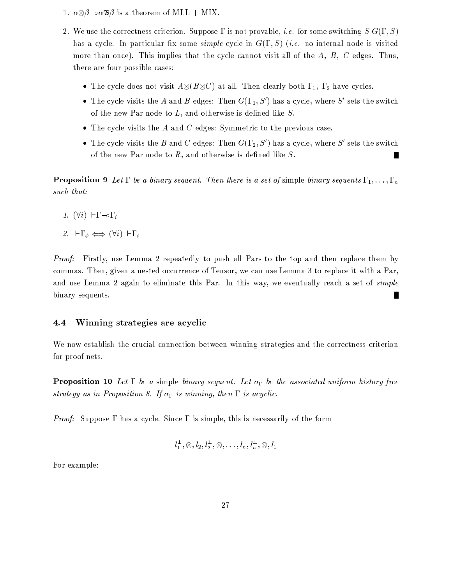- 1.  $\alpha \otimes \beta \alpha \otimes \beta$  is a theorem of MLL + MIX.
- 2. We use the correctness criterion. Suppose  $\Gamma$  is not provable, *i.e.* for some switching  $S G(\Gamma, S)$ has a cycle. In particular fix some *simple* cycle in  $G(\Gamma, S)$  (*i.e.* no internal node is visited more than once). This implies that the cycle cannot visit all of the  $A, B, C$  edges. Thus, there are four possible cases:
	- The cycle does not visit  $A \otimes (B \otimes C)$  at all. Then clearly both  $\Gamma_1$ ,  $\Gamma_2$  have cycles.
	- The cycle visits the A and B edges: Then  $G(\Gamma_1, S')$  has a cycle, where S' sets the switch of the new Par node to  $L$ , and otherwise is defined like  $S$ .
	- The cycle visits the A and C edges: Symmetric to the previous case.
	- The cycle visits the B and C edges: Then  $G(\Gamma_2, S')$  has a cycle, where S' sets the switch of the new Par node to  $R$ , and otherwise is defined like  $S$ . П

**Proposition 9** Let  $\Gamma$  be a binary sequent. Then there is a set of simple binary sequents  $\Gamma_1, \ldots, \Gamma_n$ such that:

1.  $(\forall i)$   $\vdash \Gamma \neg \circ \Gamma_i$ 

2.  $\vdash \Gamma_{\phi} \Longleftrightarrow (\forall i) \vdash \Gamma_i$ 

*Proof:* Firstly, use Lemma 2 repeatedly to push all Pars to the top and then replace them by commas. Then, given a nested occurrence of Tensor, we can use Lemma 3 to replace it with a Par, and use Lemma 2 again to eliminate this Par. In this way, we eventually reach a set of simple binary sequents. П

# Winning strategies are acyclic 4.4

We now establish the crucial connection between winning strategies and the correctness criterion for proof nets.

**Proposition 10** Let  $\Gamma$  be a simple binary sequent. Let  $\sigma_{\Gamma}$  be the associated uniform history free strategy as in Proposition 8. If  $\sigma_{\Gamma}$  is winning, then  $\Gamma$  is acyclic.

*Proof:* Suppose  $\Gamma$  has a cycle. Since  $\Gamma$  is simple, this is necessarily of the form

$$
l_1^{\perp}, \otimes, l_2, l_2^{\perp}, \otimes, \ldots, l_n, l_n^{\perp}, \otimes, l_1
$$

For example: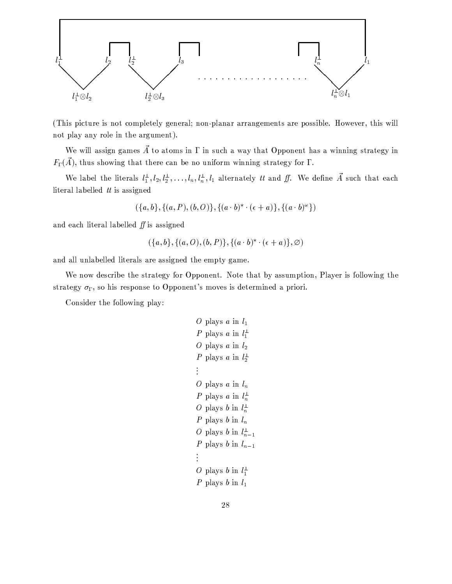

(This picture is not completely general; non-planar arrangements are possible. However, this will not play any role in the argument).

We will assign games  $\vec{A}$  to atoms in  $\Gamma$  in such a way that Opponent has a winning strategy in  $F_{\Gamma}(\vec{A})$ , thus showing that there can be no uniform winning strategy for  $\Gamma$ .

We label the literals  $l_1^{\perp}, l_2, l_2^{\perp}, \ldots, l_n, l_n^{\perp}, l_1$  alternately *tt* and *ff*. We define  $\vec{A}$  such that each literal labelled  $tt$  is assigned

$$
(\{a,b\}, \{(a,P),(b,O)\}, \{(a \cdot b)^{\star} \cdot (\epsilon + a)\}, \{(a \cdot b)^{\omega}\})
$$

and each literal labelled  $f\!f$  is assigned

$$
(\{a, b\}, \{(a, O), (b, P)\}, \{(a \cdot b)^{\star} \cdot (\epsilon + a)\}, \varnothing)
$$

and all unlabelled literals are assigned the empty game.

We now describe the strategy for Opponent. Note that by assumption, Player is following the strategy  $\sigma_{\Gamma}$ , so his response to Opponent's moves is determined a priori.

Consider the following play:

*O* plays *a* in 
$$
l_1
$$
  
\n*P* plays *a* in  $l_1$   
\n*O* plays *a* in  $l_2$   
\n*P* plays *a* in  $l_2$   
\n:  
\n*O* plays *a* in  $l_n$   
\n*P* plays *a* in  $l_n$   
\n*P* plays *b* in  $l_n$   
\n*P* plays *b* in  $l_n$   
\n*P* plays *b* in  $l_{n-1}$   
\n*P* plays *b* in  $l_{n-1}$   
\n:  
\n*O* plays *b* in  $l_1$   
\n*P* plays *b* in  $l_1$   
\n*P* plays *b* in  $l_1$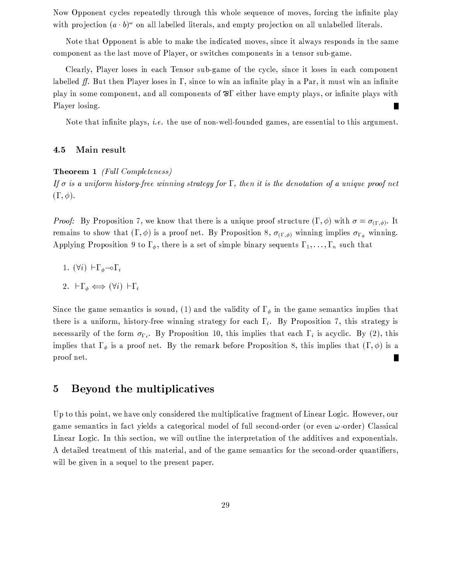Now Opponent cycles repeatedly through this whole sequence of moves, forcing the infinite play with projection  $(a \cdot b)^{\omega}$  on all labelled literals, and empty projection on all unlabelled literals.

Note that Opponent is able to make the indicated moves, since it always responds in the same component as the last move of Player, or switches components in a tensor sub-game.

Clearly, Player loses in each Tensor sub-game of the cycle, since it loses in each component labelled ff. But then Player loses in  $\Gamma$ , since to win an infinite play in a Par, it must win an infinite play in some component, and all components of  $\mathbb{R}^{\Gamma}$  either have empty plays, or infinite plays with Player losing.

Note that infinite plays, *i.e.* the use of non-well-founded games, are essential to this argument.

# $4.5$ Main result

# **Theorem 1** (Full Completeness)

If  $\sigma$  is a uniform history-free winning strategy for  $\Gamma$ , then it is the denotation of a unique proof net  $(\Gamma, \phi)$ .

*Proof:* By Proposition 7, we know that there is a unique proof structure  $(\Gamma, \phi)$  with  $\sigma = \sigma_{(\Gamma, \phi)}$ . It remains to show that  $(\Gamma, \phi)$  is a proof net. By Proposition 8,  $\sigma_{(\Gamma, \phi)}$  winning implies  $\sigma_{\Gamma_{\phi}}$  winning. Applying Proposition 9 to  $\Gamma_{\phi}$ , there is a set of simple binary sequents  $\Gamma_1, \ldots, \Gamma_n$  such that

1.  $(\forall i)$   $\vdash \Gamma_{\phi} \neg \circ \Gamma_i$ 

2. 
$$
\vdash \Gamma_{\phi} \iff (\forall i) \vdash \Gamma_i
$$

Since the game semantics is sound, (1) and the validity of  $\Gamma_{\phi}$  in the game semantics implies that there is a uniform, history-free winning strategy for each  $\Gamma_i$ . By Proposition 7, this strategy is necessarily of the form  $\sigma_{\Gamma_i}$ . By Proposition 10, this implies that each  $\Gamma_i$  is acyclic. By (2), this implies that  $\Gamma_{\phi}$  is a proof net. By the remark before Proposition 8, this implies that  $(\Gamma, \phi)$  is a proof net.

# Beyond the multiplicatives  $\overline{5}$

Up to this point, we have only considered the multiplicative fragment of Linear Logic. However, our game semantics in fact yields a categorical model of full second-order (or even  $\omega$ -order) Classical Linear Logic. In this section, we will outline the interpretation of the additives and exponentials. A detailed treatment of this material, and of the game semantics for the second-order quantifiers, will be given in a sequel to the present paper.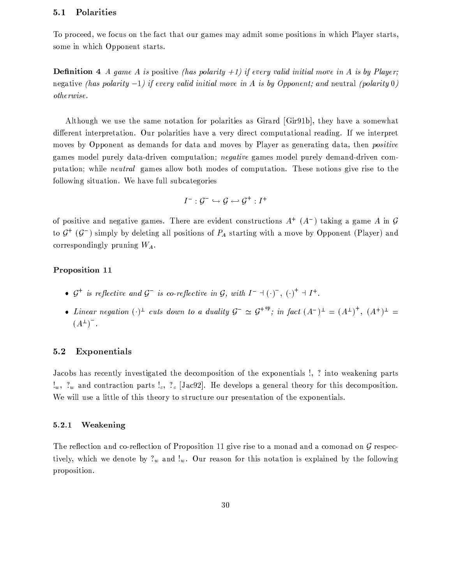# Polarities  $5.1$

To proceed, we focus on the fact that our games may admit some positions in which Player starts, some in which Opponent starts.

**Definition** 4 A game A is positive (has polarity  $+1$ ) if every valid initial move in A is by Player; negative (has polarity  $-1$ ) if every valid initial move in A is by Opponent; and neutral (polarity 0)  $otherwise.$ 

Although we use the same notation for polarities as Girard [Gir91b], they have a somewhat different interpretation. Our polarities have a very direct computational reading. If we interpret moves by Opponent as demands for data and moves by Player as generating data, then *positive* games model purely data-driven computation; *negative* games model purely demand-driven computation; while *neutral* games allow both modes of computation. These notions give rise to the following situation. We have full subcategories

$$
I^- : \mathcal{G}^- \hookrightarrow \mathcal{G} \hookrightarrow \mathcal{G}^+ : I^+
$$

of positive and negative games. There are evident constructions  $A^+$  ( $A^-$ ) taking a game A in G to  $\mathcal{G}^+(G^-)$  simply by deleting all positions of  $P_A$  starting with a move by Opponent (Player) and correspondingly pruning  $W_A$ .

# Proposition 11

- $\mathcal{G}^+$  is reflective and  $\mathcal{G}^-$  is co-reflective in  $\mathcal{G}$ , with  $I^-$  +(·)<sup>-</sup>, (·)<sup>+</sup> +  $I^+$ .
- Linear negation  $(\cdot)^{\perp}$  cuts down to a duality  $\mathcal{G}^{-} \simeq \mathcal{G}^{+\circ p}$ ; in fact  $(A^{-})^{\perp} = (A^{\perp})^{\dagger}$ ,  $(A^{\dagger})^{\perp} =$  $(A^{\perp})^{-}$ .

# $5.2$ Exponentials

Jacobs has recently investigated the decomposition of the exponentials!, ? into weakening parts  $!_w$ ,  $?_w$  and contraction parts  $!_c$ ,  $?_c$  [Jac92]. He develops a general theory for this decomposition. We will use a little of this theory to structure our presentation of the exponentials.

# $5.2.1$ Weakening

The reflection and co-reflection of Proposition 11 give rise to a monad and a comonad on  $\mathcal G$  respectively, which we denote by  $?_w$  and  $!_w$ . Our reason for this notation is explained by the following proposition.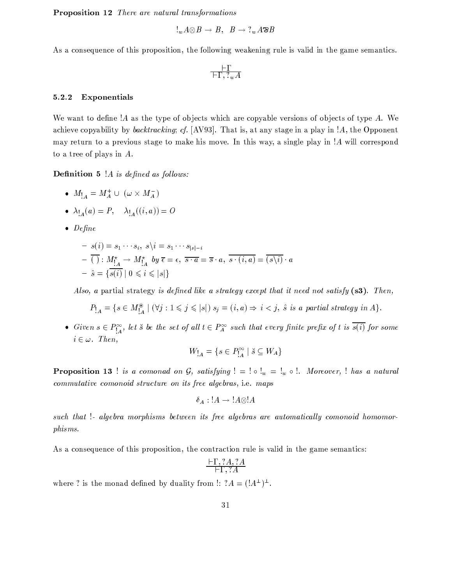**Proposition 12** There are natural transformations

$$
\exists_w A\!\otimes\! B \to B,\;\; B\to ?_w A\!\!\!\!\!\circ\!\!\!\!\circ\!\!\!\!\circ\!\!\!\!\circ\!\!\!\!\circ\!\!\!\!\circ
$$

As a consequence of this proposition, the following weakening rule is valid in the game semantics.

$$
\tfrac{\vdash \Gamma}{\vdash \Gamma,\, ?_w A}
$$

### Exponentials 5.2.2

We want to define !A as the type of objects which are copyable versions of objects of type  $A$ . We achieve copyability by *backtracking*; cf. [AV93]. That is, at any stage in a play in  $A$ , the Opponent may return to a previous stage to make his move. In this way, a single play in !A will correspond to a tree of plays in  $A$ .

**Definition 5** !A is defined as follows:

- $M_{1_A} = M_A^+ \cup (\omega \times M_A^-)$
- $\lambda_{1_4}(a) = P, \quad \lambda_{1_4}((i, a)) = O$
- $\bullet$  Define

$$
- s(i) = s_1 \cdots s_i, \ s \ i = s_1 \cdots s_{|s|-i}
$$
  

$$
- \overline{()}: M^{\star}_{!A} \rightarrow M^{\star}_{!A} \hspace{0.2cm} by \ \overline{\epsilon} = \epsilon, \ \overline{s \cdot a} = \overline{s} \cdot a, \ \overline{s \cdot (i, a)} = \overline{(s \ i)} \cdot a
$$
  

$$
- \hat{s} = \{\overline{s(i)} \mid 0 \leq i \leq |s|\}
$$

Also, a partial strategy is defined like a strategy except that it need not satisfy  $(s3)$ . Then,

$$
P_{A} = \{ s \in M_{A}^{\circledast} \mid (\forall j : 1 \leqslant j \leqslant |s|) \ s_j = (i, a) \Rightarrow i < j, \ \hat{s} \ \text{is a partial strategy in } A \}
$$

• Given  $s \in P_{A}^{\infty}$ , let  $\check{s}$  be the set of all  $t \in P_{A}^{\infty}$  such that every finite prefix of t is  $\overline{s(i)}$  for some  $i \in \omega$ . Then,

$$
W_{!A} = \{ s \in P_{!A}^{\infty} \mid \breve{s} \subseteq W_A \}
$$

**Proposition 13** ! is a comonad on G, satisfying  $! = ! \circ !_w = !_w \circ !$ . Moreover, ! has a natural commutative comonoid structure on its free algebras, i.e. maps

$$
\delta_A: !A \to !A \otimes !A
$$

such that !- algebra morphisms between its free algebras are automatically comonoid homomorphisms.

As a consequence of this proposition, the contraction rule is valid in the game semantics:

$$
\frac{\vdash \Gamma, ?A, ?A}{\vdash \Gamma, ?A}
$$

where ? is the monad defined by duality from !:  $?A = (A^{\perp})^{\perp}$ .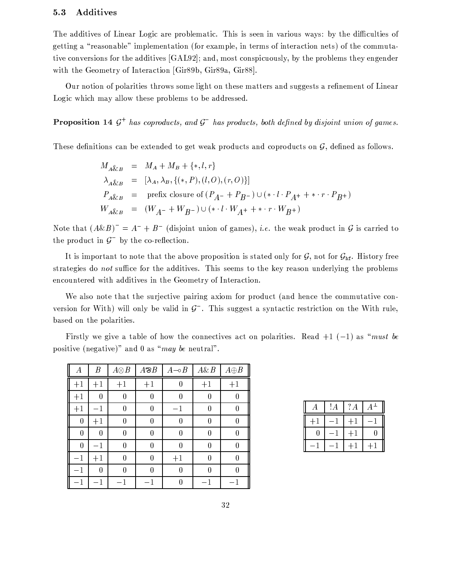#### Additives  $5.3$

The additives of Linear Logic are problematic. This is seen in various ways: by the difficulties of getting a "reasonable" implementation (for example, in terms of interaction nets) of the commutative conversions for the additives [GAL92]; and, most conspicuously, by the problems they engender with the Geometry of Interaction [Gir89b, Gir89a, Gir88].

Our notion of polarities throws some light on these matters and suggests a refinement of Linear Logic which may allow these problems to be addressed.

**Proposition 14**  $G^+$  has coproducts, and  $G^-$  has products, both defined by disjoint union of games.

These definitions can be extended to get weak products and coproducts on  $\mathcal{G}$ , defined as follows.

$$
M_{A\&B} = M_{A} + M_{B} + \{*, l, r\}
$$
  
\n
$$
\lambda_{A\&B} = [\lambda_{A}, \lambda_{B}, \{(*, P), (l, O), (r, O)\}]
$$
  
\n
$$
P_{A\&B} = \text{prefix closure of } (P_{A^{-}} + P_{B^{-}}) \cup (* \cdot l \cdot P_{A^{+}} + * \cdot r \cdot P_{B^{+}})
$$
  
\n
$$
W_{A\&B} = (W_{A^{-}} + W_{B^{-}}) \cup (* \cdot l \cdot W_{A^{+}} + * \cdot r \cdot W_{B^{+}})
$$

Note that  $(A\&B)^{-} = A^{-} + B^{-}$  (disjoint union of games), *i.e.* the weak product in G is carried to the product in  $\mathcal{G}^-$  by the co-reflection.

It is important to note that the above proposition is stated only for  $G$ , not for  $G_{\text{hf}}$ . History free strategies do not suffice for the additives. This seems to the key reason underlying the problems encountered with additives in the Geometry of Interaction.

We also note that the surjective pairing axiom for product (and hence the commutative conversion for With) will only be valid in  $\mathcal{G}^-$ . This suggest a syntactic restriction on the With rule, based on the polarities.

Firstly we give a table of how the connectives act on polarities. Read  $+1$  (-1) as "must be positive (negative)" and 0 as "may be neutral".

| А                | $\boldsymbol{B}$ | $A \otimes B$ | $A \otimes B$ | $A \rightarrow B$ | $A\&B$ | $A \oplus B$ |
|------------------|------------------|---------------|---------------|-------------------|--------|--------------|
| $+1$             | $+1$             | $+1$          | $+1$          | 0                 | $+1$   | $+1$         |
| $+1$             | 0                | 0             | 0             | 0                 | 0      |              |
| $+1$             | $-1$             | 0             | 0             | $-1$              | 0      | 0            |
| $\boldsymbol{0}$ | $+1$             | $\bf{0}$      | 0             | 0                 | 0      | 0            |
| $\theta$         | 0                | 0             | 0             | 0                 | U      | 0            |
| $\boldsymbol{0}$ | $-1$             | 0             | 0             | 0                 | 0      | 0            |
| $-1$             | $+1$             | $\bf{0}$      | 0             | $+1$              | 0      | 0            |
| $-1$             | 0                | 0             | 0             | 0                 | U      | 0            |
| - 1              | 1                | $-1$          | - 1           | 0                 | - 1    | 1            |

| А    | ! А | ?A   | $A^\perp$ |
|------|-----|------|-----------|
| $+1$ |     | $+1$ |           |
| 0    |     | $+1$ | $\theta$  |
|      |     | $+1$ | $+1$      |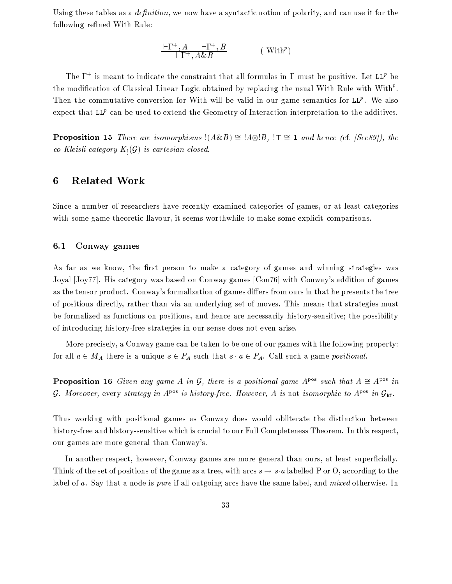Using these tables as a *definition*, we now have a syntactic notion of polarity, and can use it for the following refined With Rule:

$$
\frac{\vdash \Gamma^+, A \quad \vdash \Gamma^+, B}{\vdash \Gamma^+, A \& B} \qquad \qquad (\text{ With}^p)
$$

The  $\Gamma^+$  is meant to indicate the constraint that all formulas in  $\Gamma$  must be positive. Let LL<sup>p</sup> be the modification of Classical Linear Logic obtained by replacing the usual With Rule with With<sup> $P$ </sup>. Then the commutative conversion for With will be valid in our game semantics for  $LL^p$ . We also expect that  $LL^p$  can be used to extend the Geometry of Interaction interpretation to the additives.

**Proposition 15** There are isomorphisms  $!(A\&B) \cong |A\otimes B|$ ,  $!\top \cong 1$  and hence (cf. [See89]), the co-Kleisli category  $K_1(\mathcal{G})$  is cartesian closed.

# **Related Work** 6

Since a number of researchers have recently examined categories of games, or at least categories with some game-theoretic flavour, it seems worthwhile to make some explicit comparisons.

### $6.1$ Conway games

As far as we know, the first person to make a category of games and winning strategies was Joyal [Joy77]. His category was based on Conway games [Con76] with Conway's addition of games as the tensor product. Conway's formalization of games differs from ours in that he presents the tree of positions directly, rather than via an underlying set of moves. This means that strategies must be formalized as functions on positions, and hence are necessarily history-sensitive; the possibility of introducing history-free strategies in our sense does not even arise.

More precisely, a Conway game can be taken to be one of our games with the following property: for all  $a \in M_A$  there is a unique  $s \in P_A$  such that  $s \cdot a \in P_A$ . Call such a game *positional*.

**Proposition 16** Given any game A in G, there is a positional game  $A^{pos}$  such that  $A \cong A^{pos}$  in G. Moreover, every strategy in  $A^{pos}$  is history-free. However, A is not isomorphic to  $A^{pos}$  in  $G_{hf}$ .

Thus working with positional games as Conway does would obliterate the distinction between history-free and history-sensitive which is crucial to our Full Completeness Theorem. In this respect, our games are more general than Conway's.

In another respect, however, Conway games are more general than ours, at least superficially. Think of the set of positions of the game as a tree, with arcs  $s \to s \cdot a$  labelled P or O, according to the label of a. Say that a node is pure if all outgoing arcs have the same label, and mixed otherwise. In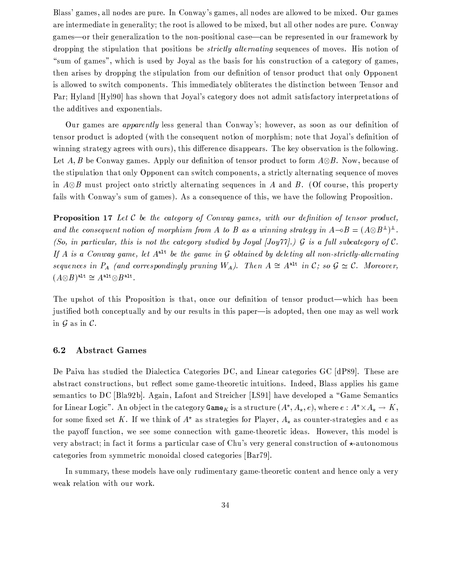Blass' games, all nodes are pure. In Conway's games, all nodes are allowed to be mixed. Our games are intermediate in generality; the root is allowed to be mixed, but all other nodes are pure. Conway games—or their generalization to the non-positional case—can be represented in our framework by dropping the stipulation that positions be *strictly alternating* sequences of moves. His notion of "sum of games", which is used by Joyal as the basis for his construction of a category of games, then arises by dropping the stipulation from our definition of tensor product that only Opponent is allowed to switch components. This immediately obliterates the distinction between Tensor and Par; Hyland [Hyl90] has shown that Joyal's category does not admit satisfactory interpretations of the additives and exponentials.

Our games are *apparently* less general than Conway's; however, as soon as our definition of tensor product is adopted (with the consequent notion of morphism; note that Joyal's definition of winning strategy agrees with ours), this difference disappears. The key observation is the following. Let A, B be Conway games. Apply our definition of tensor product to form  $A \otimes B$ . Now, because of the stipulation that only Opponent can switch components, a strictly alternating sequence of moves in  $A \otimes B$  must project onto strictly alternating sequences in A and B. (Of course, this property fails with Conway's sum of games). As a consequence of this, we have the following Proposition.

**Proposition 17** Let  $C$  be the category of Conway games, with our definition of tensor product, and the consequent notion of morphism from A to B as a winning strategy in  $A \rightarrow B = (A \otimes B^{\perp})^{\perp}$ . (So, in particular, this is not the category studied by Joyal [Joy77].)  $\mathcal G$  is a full subcategory of  $\mathcal C$ . If A is a Conway game, let  $A^{\text{alt}}$  be the game in G obtained by deleting all non-strictly-alternating sequences in  $P_A$  (and correspondingly pruning  $W_A$ ). Then  $A \cong A^{\text{alt}}$  in  $C$ ; so  $G \cong C$ . Moreover,  $(A \otimes B)^{\text{alt}} \cong A^{\text{alt}} \otimes B^{\text{alt}}.$ 

The upshot of this Proposition is that, once our definition of tensor product—which has been justified both conceptually and by our results in this paper-is adopted, then one may as well work in  $\mathcal G$  as in  $\mathcal C$ .

# $6.2$ **Abstract Games**

De Paiva has studied the Dialectica Categories DC, and Linear categories GC [dP89]. These are abstract constructions, but reflect some game-theoretic intuitions. Indeed, Blass applies his game semantics to DC [Bla92b]. Again, Lafont and Streicher [LS91] have developed a "Game Semantics" for Linear Logic". An object in the category  $\texttt{Game}_K$  is a structure  $(A^*, A_*, e)$ , where  $e: A^* \times A_* \to K$ , for some fixed set K. If we think of  $A^*$  as strategies for Player,  $A_*$  as counter-strategies and e as the payoff function, we see some connection with game-theoretic ideas. However, this model is very abstract; in fact it forms a particular case of Chu's very general construction of  $\star$ -autonomous categories from symmetric monoidal closed categories [Bar79].

In summary, these models have only rudimentary game-theoretic content and hence only a very weak relation with our work.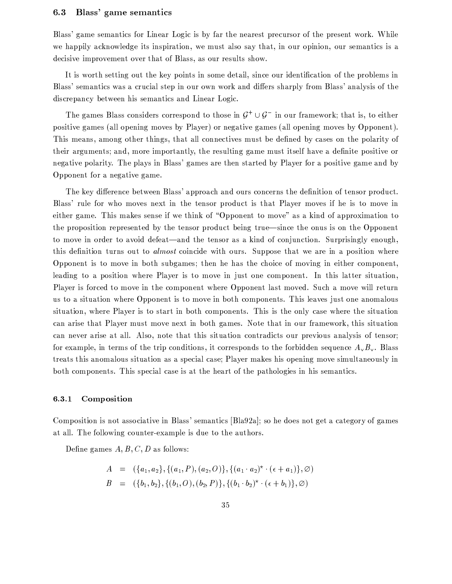#### Blass' game semantics  $6.3\,$

Blass' game semantics for Linear Logic is by far the nearest precursor of the present work. While we happily acknowledge its inspiration, we must also say that, in our opinion, our semantics is a decisive improvement over that of Blass, as our results show.

It is worth setting out the key points in some detail, since our identification of the problems in Blass' semantics was a crucial step in our own work and differs sharply from Blass' analysis of the discrepancy between his semantics and Linear Logic.

The games Blass considers correspond to those in  $G^+ \cup G^-$  in our framework; that is, to either positive games (all opening moves by Player) or negative games (all opening moves by Opponent). This means, among other things, that all connectives must be defined by cases on the polarity of their arguments; and, more importantly, the resulting game must itself have a definite positive or negative polarity. The plays in Blass' games are then started by Player for a positive game and by Opponent for a negative game.

The key difference between Blass' approach and ours concerns the definition of tensor product. Blass' rule for who moves next in the tensor product is that Player moves if he is to move in either game. This makes sense if we think of "Opponent to move" as a kind of approximation to the proposition represented by the tensor product being true—since the onus is on the Opponent to move in order to avoid defeat—and the tensor as a kind of conjunction. Surprisingly enough, this definition turns out to almost coincide with ours. Suppose that we are in a position where Opponent is to move in both subgames; then he has the choice of moving in either component, leading to a position where Player is to move in just one component. In this latter situation, Player is forced to move in the component where Opponent last moved. Such a move will return us to a situation where Opponent is to move in both components. This leaves just one anomalous situation, where Player is to start in both components. This is the only case where the situation can arise that Player must move next in both games. Note that in our framework, this situation can never arise at all. Also, note that this situation contradicts our previous analysis of tensor; for example, in terms of the trip conditions, it corresponds to the forbidden sequence  $A_{\nu}B_{\nu}$ . Blass treats this anomalous situation as a special case; Player makes his opening move simultaneously in both components. This special case is at the heart of the pathologies in his semantics.

### Composition  $6.3.1$

Composition is not associative in Blass' semantics [Bla92a]; so he does not get a category of games at all. The following counter-example is due to the authors.

Define games  $A, B, C, D$  as follows:

$$
A = (\{a_1, a_2\}, \{(a_1, P), (a_2, O)\}, \{(a_1 \cdot a_2)^{\star} \cdot (\epsilon + a_1)\}, \varnothing)
$$
  

$$
B = (\{b_1, b_2\}, \{(b_1, O), (b_2, P)\}, \{(b_1 \cdot b_2)^{\star} \cdot (\epsilon + b_1)\}, \varnothing)
$$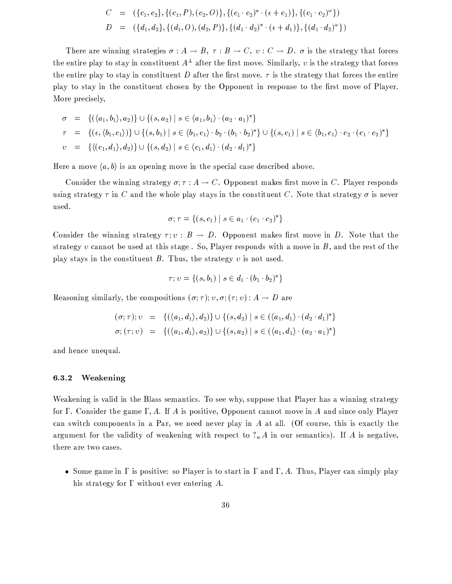$$
C = (\{c_1, c_2\}, \{(c_1, P), (c_2, O)\}, \{(c_1 \cdot c_2)^{\star} \cdot (\epsilon + c_1)\}, \{(c_1 \cdot c_2)^{\omega}\})
$$
  

$$
D = (\{d_1, d_2\}, \{(d_1, O), (d_2, P)\}, \{(d_1 \cdot d_2)^{\star} \cdot (\epsilon + d_1)\}, \{(d_1 \cdot d_2)^{\omega}\})
$$

There are winning strategies  $\sigma: A \to B$ ,  $\tau: B \to C$ ,  $v: C \to D$ .  $\sigma$  is the strategy that forces the entire play to stay in constituent  $A^{\perp}$  after the first move. Similarly, v is the strategy that forces the entire play to stay in constituent D after the first move.  $\tau$  is the strategy that forces the entire play to stay in the constituent chosen by the Opponent in response to the first move of Player. More precisely,

$$
\sigma = \{ (\langle a_1, b_1 \rangle, a_2) \} \cup \{ (s, a_2) \mid s \in \langle a_1, b_1 \rangle \cdot (a_2 \cdot a_1)^{\star} \}
$$
  
\n
$$
\tau = \{ (\epsilon, \langle b_1, c_1 \rangle) \} \cup \{ (s, b_1) \mid s \in \langle b_1, c_1 \rangle \cdot b_2 \cdot (b_1 \cdot b_2)^{\star} \} \cup \{ (s, c_1) \mid s \in \langle b_1, c_1 \rangle \cdot c_2 \cdot (c_1 \cdot c_2)^{\star} \}
$$
  
\n
$$
v = \{ \langle (c_1, d_1), d_2) \} \cup \{ (s, d_2) \mid s \in \langle c_1, d_1 \rangle \cdot (d_2 \cdot d_1)^{\star} \}
$$

Here a move  $\langle a,b\rangle$  is an opening move in the special case described above.

Consider the winning strategy  $\sigma$ ;  $\tau$  :  $A \to C$ . Opponent makes first move in C. Player responds using strategy  $\tau$  in C and the whole play stays in the constituent C. Note that strategy  $\sigma$  is never used.

$$
\sigma; \tau = \{(s,c_1) \mid s \in a_1 \cdot (c_1 \cdot c_2)^{\star}\}
$$

Consider the winning strategy  $\tau$ ;  $v : B \to D$ . Opponent makes first move in D. Note that the strategy  $v$  cannot be used at this stage. So, Player responds with a move in  $B$ , and the rest of the play stays in the constituent  $B$ . Thus, the strategy  $v$  is not used.

$$
\tau;v=\{(s,b_1)\:|\:s\in d_1\cdot(b_1\cdot b_2)^{\star}\}
$$

Reasoning similarly, the compositions  $(\sigma, \tau)$ ;  $v, \sigma$ ;  $(\tau, v)$ :  $A \rightarrow D$  are

$$
(\sigma; \tau); \upsilon = \{ (\langle a_1, d_1 \rangle, d_2) \} \cup \{ (s, d_2) \mid s \in (\langle a_1, d_1 \rangle \cdot (d_2 \cdot d_1)^{\star} \}
$$
  

$$
\sigma; (\tau; \upsilon) = \{ (\langle a_1, d_1 \rangle, a_2) \} \cup \{ (s, a_2) \mid s \in (\langle a_1, d_1 \rangle \cdot (a_2 \cdot a_1)^{\star} \}
$$

and hence unequal.

# $6.3.2$ Weakening

Weakening is valid in the Blass semantics. To see why, suppose that Player has a winning strategy for  $\Gamma$ . Consider the game  $\Gamma$ , A. If A is positive, Opponent cannot move in A and since only Player can switch components in a Par, we need never play in A at all. (Of course, this is exactly the argument for the validity of weakening with respect to  $?<sub>w</sub>A$  in our semantics). If A is negative, there are two cases.

• Some game in  $\Gamma$  is positive: so Player is to start in  $\Gamma$  and  $\Gamma$ , A. Thus, Player can simply play his strategy for  $\Gamma$  without ever entering  $A$ .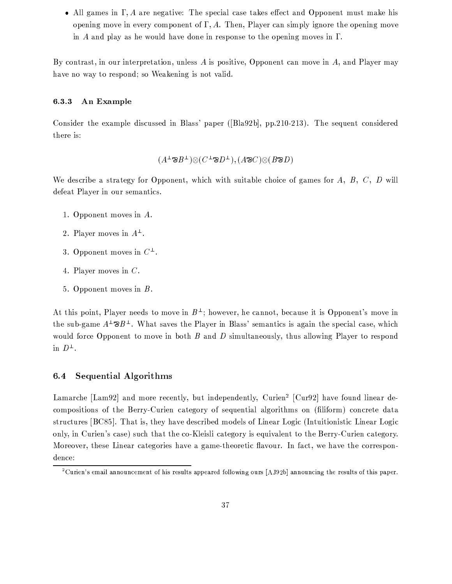• All games in  $\Gamma$ , A are negative: The special case takes effect and Opponent must make his opening move in every component of  $\Gamma$ , A. Then, Player can simply ignore the opening move in A and play as he would have done in response to the opening moves in  $\Gamma$ .

By contrast, in our interpretation, unless  $A$  is positive, Opponent can move in  $A$ , and Player may have no way to respond; so Weakening is not valid.

# $6.3.3$ An Example

Consider the example discussed in Blass' paper ([Bla92b], pp.210-213). The sequent considered there is:

$$
(A^{\perp} \mathcal{B} B^{\perp}) \otimes (C^{\perp} \mathcal{B} D^{\perp}), (A \mathcal{B} C) \otimes (B \mathcal{B} D)
$$

We describe a strategy for Opponent, which with suitable choice of games for  $A, B, C, D$  will defeat Player in our semantics.

- 1. Opponent moves in  $A$ .
- 2. Player moves in  $A^{\perp}$ .
- 3. Opponent moves in  $C^{\perp}$ .
- 4. Player moves in  $C$ .
- 5. Opponent moves in  $B$ .

At this point, Player needs to move in  $B^{\perp}$ ; however, he cannot, because it is Opponent's move in the sub-game  $A^{\perp} \otimes B^{\perp}$ . What saves the Player in Blass' semantics is again the special case, which would force Opponent to move in both  $B$  and  $D$  simultaneously, thus allowing Player to respond in  $D^{\perp}$ .

# 6.4 Sequential Algorithms

Lamarche [Lam92] and more recently, but independently, Curien<sup>2</sup> [Cur92] have found linear decompositions of the Berry-Curien category of sequential algorithms on (filiform) concrete data structures [BC85]. That is, they have described models of Linear Logic (Intuitionistic Linear Logic only, in Curien's case) such that the co-Kleisli category is equivalent to the Berry-Curien category. Moreover, these Linear categories have a game-theoretic flavour. In fact, we have the correspondence:

<sup>&</sup>lt;sup>2</sup>Curien's email announcement of his results appeared following ours [AJ92b] announcing the results of this paper.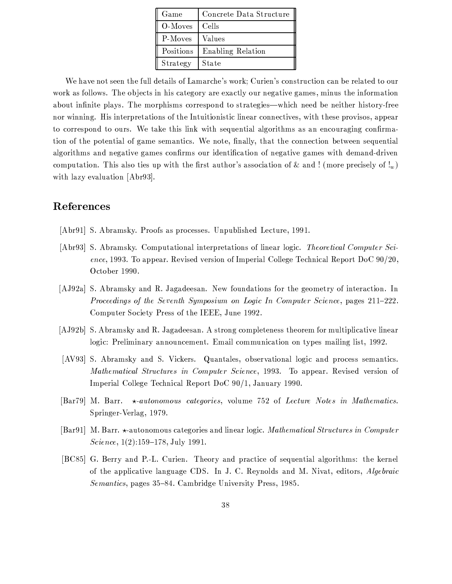| Game      | Concrete Data Structure |
|-----------|-------------------------|
| O-Moves   | Cells                   |
| P-Moves   | Values                  |
| Positions | Enabling Relation       |
| Strategy  | State                   |

We have not seen the full details of Lamarche's work; Curien's construction can be related to our work as follows. The objects in his category are exactly our negative games, minus the information about infinite plays. The morphisms correspond to strategies—which need be neither history-free nor winning. His interpretations of the Intuitionistic linear connectives, with these provisos, appear to correspond to ours. We take this link with sequential algorithms as an encouraging confirmation of the potential of game semantics. We note, finally, that the connection between sequential algorithms and negative games confirms our identification of negative games with demand-driven computation. This also ties up with the first author's association of & and! (more precisely of!<sub>w</sub>) with lazy evaluation [Abr93].

# References

- [Abr91] S. Abramsky. Proofs as processes. Unpublished Lecture, 1991.
- [Abr93] S. Abramsky. Computational interpretations of linear logic. Theoretical Computer Science, 1993. To appear. Revised version of Imperial College Technical Report DoC  $90/20$ , October 1990.
- [AJ92a] S. Abramsky and R. Jagadeesan. New foundations for the geometry of interaction. In Proceedings of the Seventh Symposium on Logic In Computer Science, pages 211–222. Computer Society Press of the IEEE, June 1992.
- [AJ92b] S. Abramsky and R. Jagadeesan. A strong completeness theorem for multiplicative linear logic: Preliminary announcement. Email communication on types mailing list, 1992.
- [AV93] S. Abramsky and S. Vickers. Quantales, observational logic and process semantics. Mathematical Structures in Computer Science, 1993. To appear. Revised version of Imperial College Technical Report DoC 90/1, January 1990.
- [Bar79] M. Barr.  $\star$ -autonomous categories, volume 752 of Lecture Notes in Mathematics. Springer-Verlag, 1979.
- [Bar91] M. Barr. \*-autonomous categories and linear logic. Mathematical Structures in Computer Science,  $1(2):159-178$ , July 1991.
- [BC85] G. Berry and P.-L. Curien. Theory and practice of sequential algorithms: the kernel of the applicative language CDS. In J. C. Reynolds and M. Nivat, editors, *Algebraic* Semantics, pages 35-84. Cambridge University Press, 1985.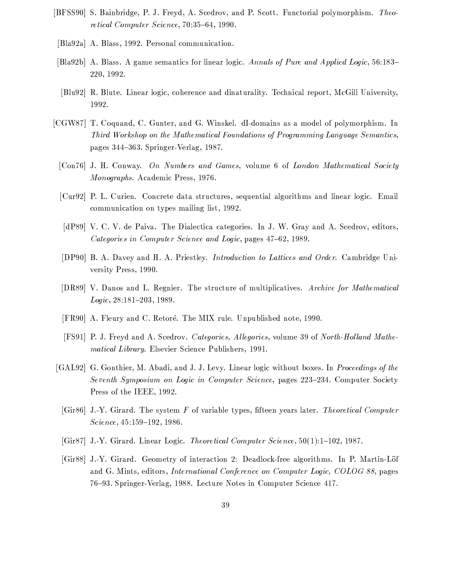- [BFSS90] S. Bainbridge, P. J. Freyd, A. Scedrov, and P. Scott. Functorial polymorphism. Theoretical Computer Science, 70:35-64, 1990.
- [Bla92a] A. Blass, 1992. Personal communication.
- [Bla92b] A. Blass. A game semantics for linear logic. Annals of Pure and Applied Logic, 56:183– 220, 1992.
- [Blu92] R. Blute. Linear logic, coherence and dinaturality. Technical report, McGill University, 1992.
- [CGW87] T. Coquand, C. Gunter, and G. Winskel. dI-domains as a model of polymorphism. In Third Workshop on the Mathematical Foundations of Programming Language Semantics, pages 344-363. Springer-Verlag, 1987.
	- [Con76] J. H. Conway. On Numbers and Games, volume 6 of London Mathematical Society Monographs. Academic Press, 1976.
	- [Cur92] P. L. Curien. Concrete data structures, sequential algorithms and linear logic. Email communication on types mailing list, 1992.
	- [dP89] V. C. V. de Paiva. The Dialectica categories. In J. W. Gray and A. Scedrov, editors, Categories in Computer Science and Logic, pages 47-62, 1989.
	- [DP90] B. A. Davey and H. A. Priestley. Introduction to Lattices and Order. Cambridge University Press, 1990.
	- [DR89] V. Danos and L. Regnier. The structure of multiplicatives. Archive for Mathematical Logic, 28:181-203, 1989.
	- [FR90] A. Fleury and C. Retoré. The MIX rule. Unpublished note, 1990.
	- [FS91] P. J. Freyd and A. Scedrov. Categories, Allegories, volume 39 of North-Holland Mathematical Library. Elsevier Science Publishers, 1991.
- [GAL92] G. Gonthier, M. Abadi, and J. J. Levy. Linear logic without boxes. In *Proceedings of the* Seventh Symposium on Logic in Computer Science, pages 223–234. Computer Society Press of the IEEE, 1992.
	- [Gir86] J.-Y. Girard. The system F of variable types, fifteen years later. Theoretical Computer Science, 45:159-192, 1986.
	- [Gir87] J.-Y. Girard. Linear Logic. Theoretical Computer Science,  $50(1)$ :1-102, 1987.
	- [Gir88] J.-Y. Girard. Geometry of interaction 2: Deadlock-free algorithms. In P. Martin-Löf and G. Mints, editors, *International Conference on Computer Logic, COLOG 88*, pages 76-93. Springer-Verlag, 1988. Lecture Notes in Computer Science 417.